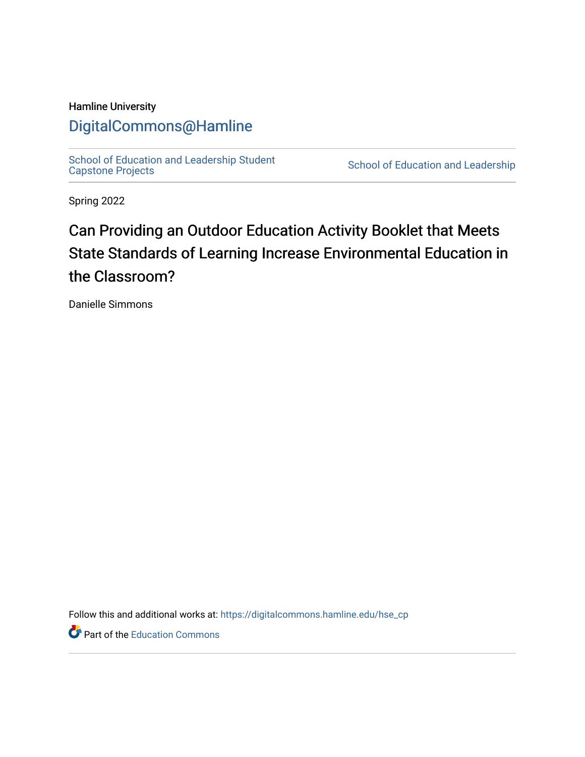## Hamline University

# [DigitalCommons@Hamline](https://digitalcommons.hamline.edu/)

[School of Education and Leadership Student](https://digitalcommons.hamline.edu/hse_cp)<br>Capstone Projects

School of Education and Leadership

Spring 2022

# Can Providing an Outdoor Education Activity Booklet that Meets State Standards of Learning Increase Environmental Education in the Classroom?

Danielle Simmons

Follow this and additional works at: [https://digitalcommons.hamline.edu/hse\\_cp](https://digitalcommons.hamline.edu/hse_cp?utm_source=digitalcommons.hamline.edu%2Fhse_cp%2F813&utm_medium=PDF&utm_campaign=PDFCoverPages) 

Part of the [Education Commons](https://network.bepress.com/hgg/discipline/784?utm_source=digitalcommons.hamline.edu%2Fhse_cp%2F813&utm_medium=PDF&utm_campaign=PDFCoverPages)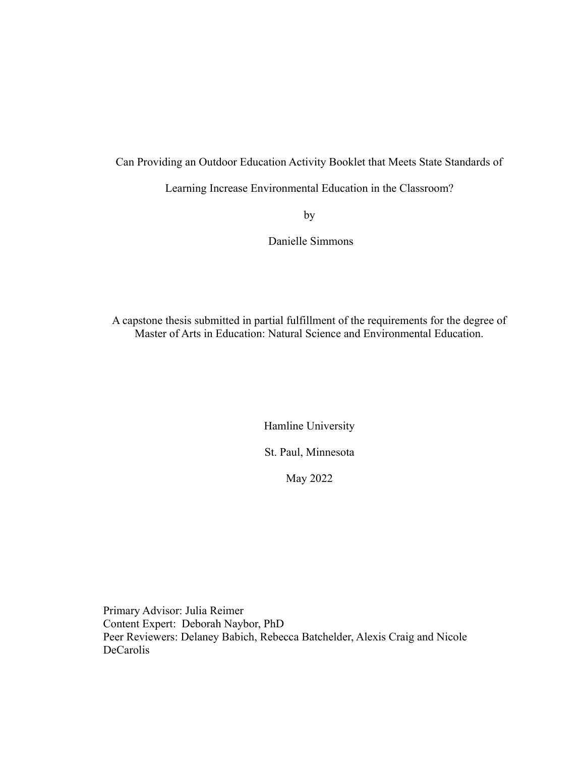Can Providing an Outdoor Education Activity Booklet that Meets State Standards of

Learning Increase Environmental Education in the Classroom?

by

Danielle Simmons

A capstone thesis submitted in partial fulfillment of the requirements for the degree of Master of Arts in Education: Natural Science and Environmental Education.

Hamline University

St. Paul, Minnesota

May 2022

Primary Advisor: Julia Reimer Content Expert: Deborah Naybor, PhD Peer Reviewers: Delaney Babich, Rebecca Batchelder, Alexis Craig and Nicole DeCarolis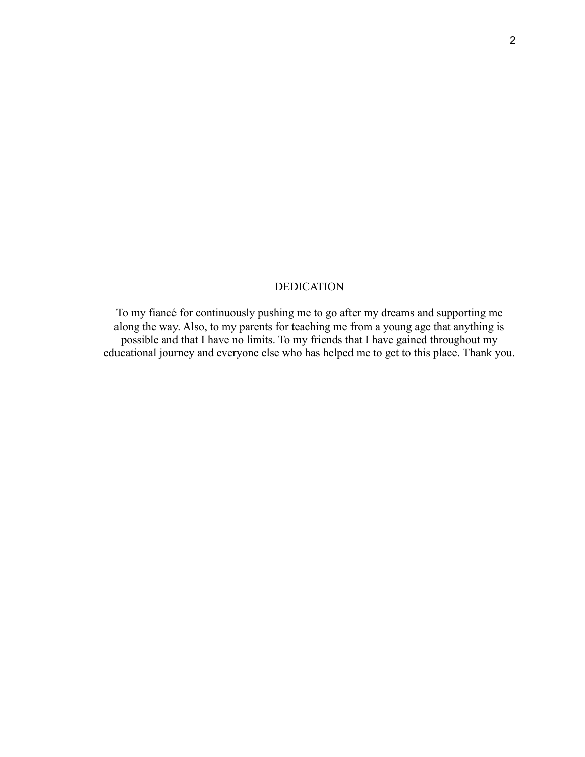# DEDICATION

To my fiancé for continuously pushing me to go after my dreams and supporting me along the way. Also, to my parents for teaching me from a young age that anything is possible and that I have no limits. To my friends that I have gained throughout my educational journey and everyone else who has helped me to get to this place. Thank you.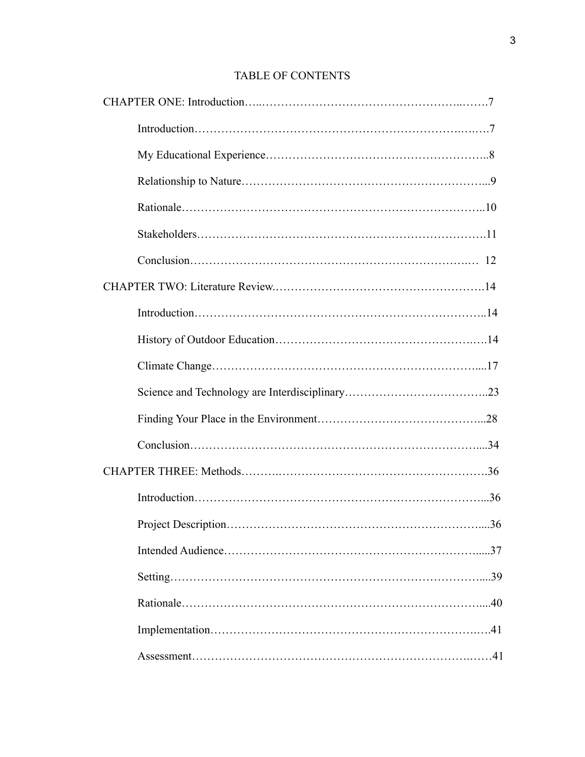# TABLE OF CONTENTS

| .36 |
|-----|
|     |
|     |
|     |
|     |
|     |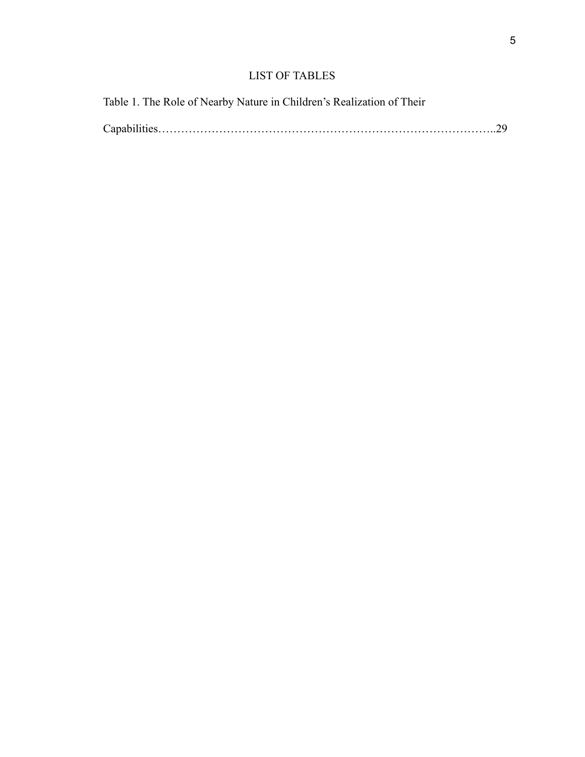# LIST OF TABLES

Table 1. The Role of Nearby Nature in Children's Realization of Their

|--|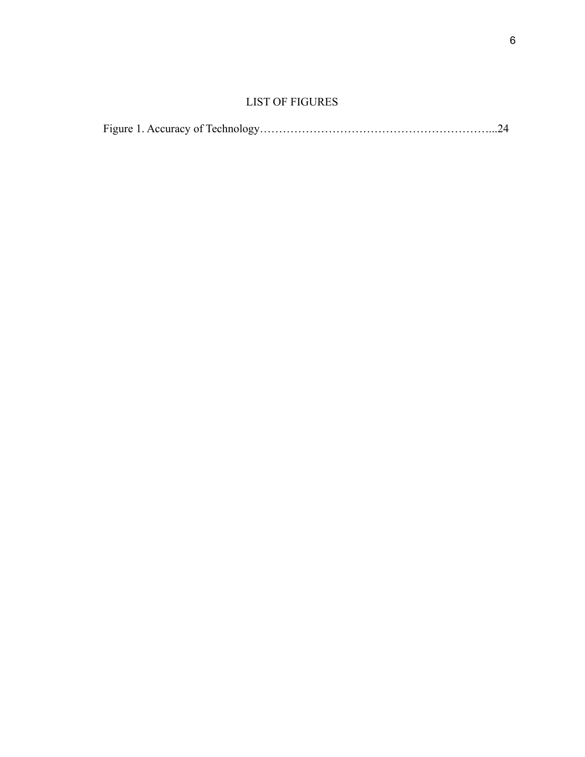# LIST OF FIGURES

|--|--|--|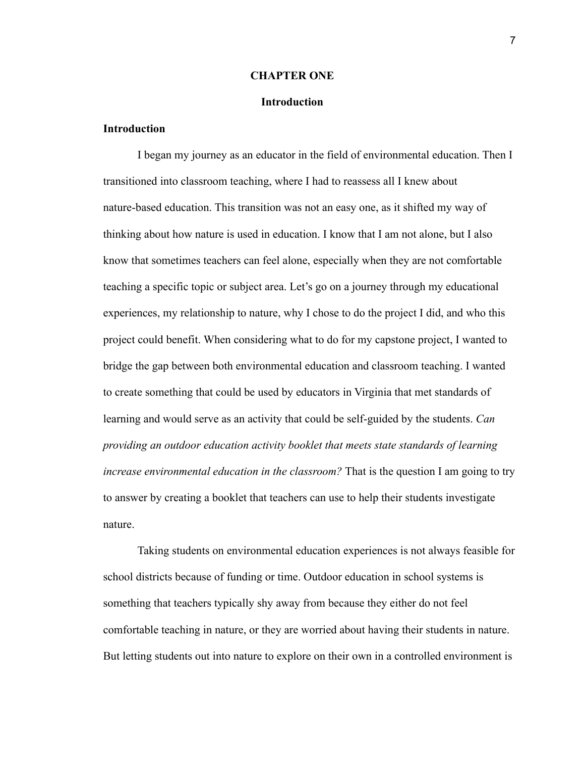#### **CHAPTER ONE**

#### **Introduction**

#### **Introduction**

I began my journey as an educator in the field of environmental education. Then I transitioned into classroom teaching, where I had to reassess all I knew about nature-based education. This transition was not an easy one, as it shifted my way of thinking about how nature is used in education. I know that I am not alone, but I also know that sometimes teachers can feel alone, especially when they are not comfortable teaching a specific topic or subject area. Let's go on a journey through my educational experiences, my relationship to nature, why I chose to do the project I did, and who this project could benefit. When considering what to do for my capstone project, I wanted to bridge the gap between both environmental education and classroom teaching. I wanted to create something that could be used by educators in Virginia that met standards of learning and would serve as an activity that could be self-guided by the students. *Can providing an outdoor education activity booklet that meets state standards of learning increase environmental education in the classroom?* That is the question I am going to try to answer by creating a booklet that teachers can use to help their students investigate nature.

Taking students on environmental education experiences is not always feasible for school districts because of funding or time. Outdoor education in school systems is something that teachers typically shy away from because they either do not feel comfortable teaching in nature, or they are worried about having their students in nature. But letting students out into nature to explore on their own in a controlled environment is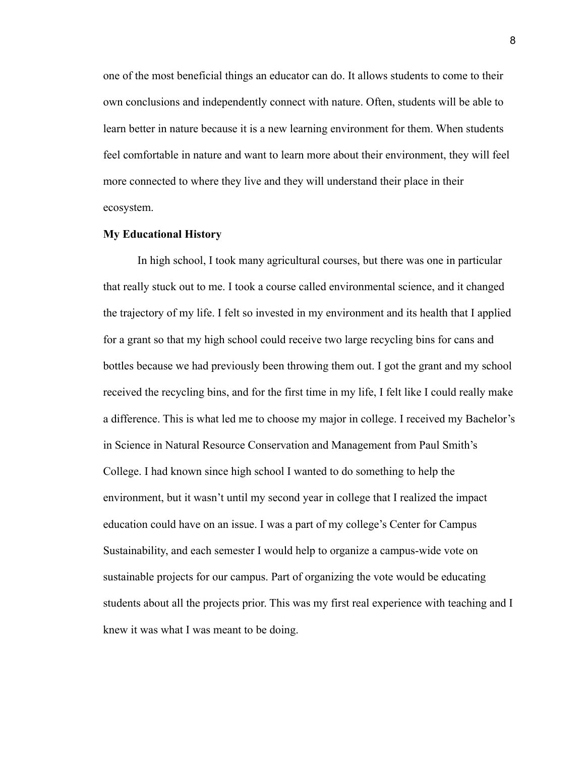one of the most beneficial things an educator can do. It allows students to come to their own conclusions and independently connect with nature. Often, students will be able to learn better in nature because it is a new learning environment for them. When students feel comfortable in nature and want to learn more about their environment, they will feel more connected to where they live and they will understand their place in their ecosystem.

#### **My Educational History**

In high school, I took many agricultural courses, but there was one in particular that really stuck out to me. I took a course called environmental science, and it changed the trajectory of my life. I felt so invested in my environment and its health that I applied for a grant so that my high school could receive two large recycling bins for cans and bottles because we had previously been throwing them out. I got the grant and my school received the recycling bins, and for the first time in my life, I felt like I could really make a difference. This is what led me to choose my major in college. I received my Bachelor's in Science in Natural Resource Conservation and Management from Paul Smith's College. I had known since high school I wanted to do something to help the environment, but it wasn't until my second year in college that I realized the impact education could have on an issue. I was a part of my college's Center for Campus Sustainability, and each semester I would help to organize a campus-wide vote on sustainable projects for our campus. Part of organizing the vote would be educating students about all the projects prior. This was my first real experience with teaching and I knew it was what I was meant to be doing.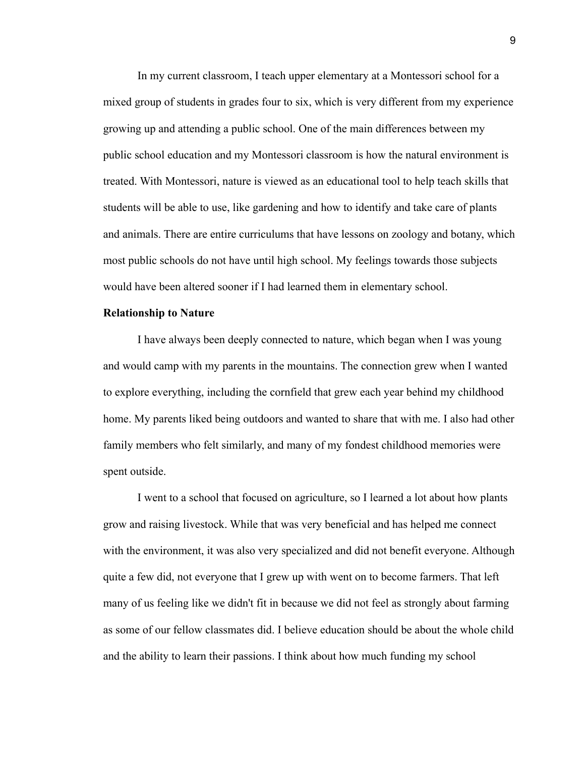In my current classroom, I teach upper elementary at a Montessori school for a mixed group of students in grades four to six, which is very different from my experience growing up and attending a public school. One of the main differences between my public school education and my Montessori classroom is how the natural environment is treated. With Montessori, nature is viewed as an educational tool to help teach skills that students will be able to use, like gardening and how to identify and take care of plants and animals. There are entire curriculums that have lessons on zoology and botany, which most public schools do not have until high school. My feelings towards those subjects would have been altered sooner if I had learned them in elementary school.

#### **Relationship to Nature**

I have always been deeply connected to nature, which began when I was young and would camp with my parents in the mountains. The connection grew when I wanted to explore everything, including the cornfield that grew each year behind my childhood home. My parents liked being outdoors and wanted to share that with me. I also had other family members who felt similarly, and many of my fondest childhood memories were spent outside.

I went to a school that focused on agriculture, so I learned a lot about how plants grow and raising livestock. While that was very beneficial and has helped me connect with the environment, it was also very specialized and did not benefit everyone. Although quite a few did, not everyone that I grew up with went on to become farmers. That left many of us feeling like we didn't fit in because we did not feel as strongly about farming as some of our fellow classmates did. I believe education should be about the whole child and the ability to learn their passions. I think about how much funding my school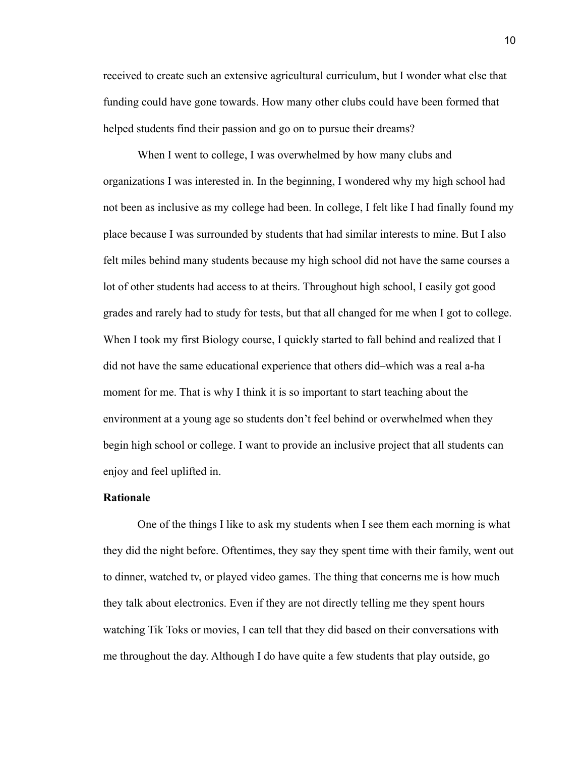received to create such an extensive agricultural curriculum, but I wonder what else that funding could have gone towards. How many other clubs could have been formed that helped students find their passion and go on to pursue their dreams?

When I went to college, I was overwhelmed by how many clubs and organizations I was interested in. In the beginning, I wondered why my high school had not been as inclusive as my college had been. In college, I felt like I had finally found my place because I was surrounded by students that had similar interests to mine. But I also felt miles behind many students because my high school did not have the same courses a lot of other students had access to at theirs. Throughout high school, I easily got good grades and rarely had to study for tests, but that all changed for me when I got to college. When I took my first Biology course, I quickly started to fall behind and realized that I did not have the same educational experience that others did–which was a real a-ha moment for me. That is why I think it is so important to start teaching about the environment at a young age so students don't feel behind or overwhelmed when they begin high school or college. I want to provide an inclusive project that all students can enjoy and feel uplifted in.

#### **Rationale**

One of the things I like to ask my students when I see them each morning is what they did the night before. Oftentimes, they say they spent time with their family, went out to dinner, watched tv, or played video games. The thing that concerns me is how much they talk about electronics. Even if they are not directly telling me they spent hours watching Tik Toks or movies, I can tell that they did based on their conversations with me throughout the day. Although I do have quite a few students that play outside, go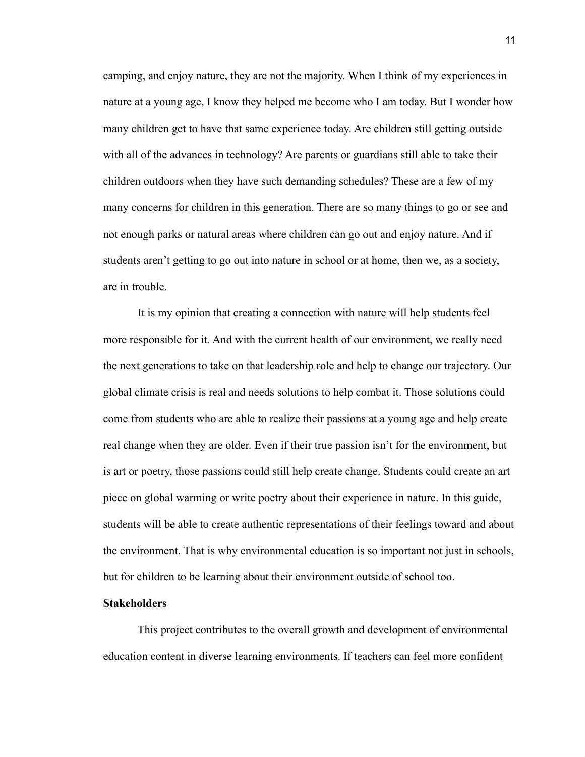camping, and enjoy nature, they are not the majority. When I think of my experiences in nature at a young age, I know they helped me become who I am today. But I wonder how many children get to have that same experience today. Are children still getting outside with all of the advances in technology? Are parents or guardians still able to take their children outdoors when they have such demanding schedules? These are a few of my many concerns for children in this generation. There are so many things to go or see and not enough parks or natural areas where children can go out and enjoy nature. And if students aren't getting to go out into nature in school or at home, then we, as a society, are in trouble.

It is my opinion that creating a connection with nature will help students feel more responsible for it. And with the current health of our environment, we really need the next generations to take on that leadership role and help to change our trajectory. Our global climate crisis is real and needs solutions to help combat it. Those solutions could come from students who are able to realize their passions at a young age and help create real change when they are older. Even if their true passion isn't for the environment, but is art or poetry, those passions could still help create change. Students could create an art piece on global warming or write poetry about their experience in nature. In this guide, students will be able to create authentic representations of their feelings toward and about the environment. That is why environmental education is so important not just in schools, but for children to be learning about their environment outside of school too.

#### **Stakeholders**

This project contributes to the overall growth and development of environmental education content in diverse learning environments. If teachers can feel more confident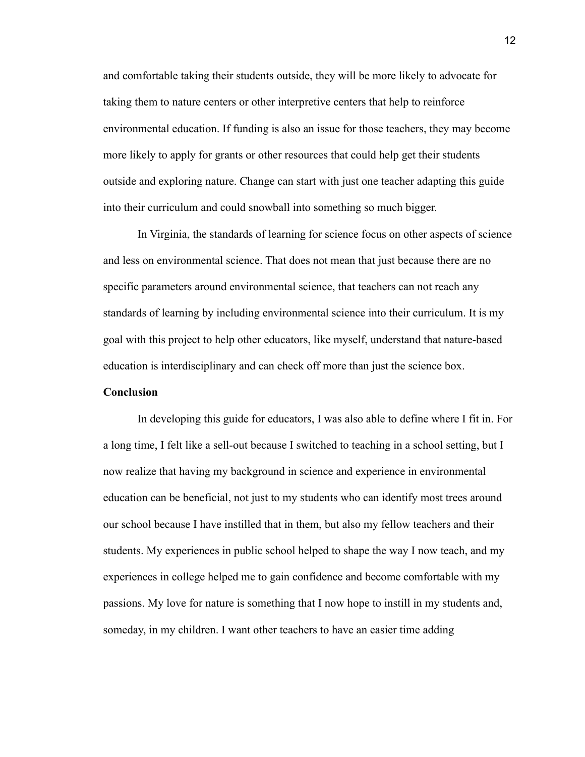and comfortable taking their students outside, they will be more likely to advocate for taking them to nature centers or other interpretive centers that help to reinforce environmental education. If funding is also an issue for those teachers, they may become more likely to apply for grants or other resources that could help get their students outside and exploring nature. Change can start with just one teacher adapting this guide into their curriculum and could snowball into something so much bigger.

In Virginia, the standards of learning for science focus on other aspects of science and less on environmental science. That does not mean that just because there are no specific parameters around environmental science, that teachers can not reach any standards of learning by including environmental science into their curriculum. It is my goal with this project to help other educators, like myself, understand that nature-based education is interdisciplinary and can check off more than just the science box.

#### **Conclusion**

In developing this guide for educators, I was also able to define where I fit in. For a long time, I felt like a sell-out because I switched to teaching in a school setting, but I now realize that having my background in science and experience in environmental education can be beneficial, not just to my students who can identify most trees around our school because I have instilled that in them, but also my fellow teachers and their students. My experiences in public school helped to shape the way I now teach, and my experiences in college helped me to gain confidence and become comfortable with my passions. My love for nature is something that I now hope to instill in my students and, someday, in my children. I want other teachers to have an easier time adding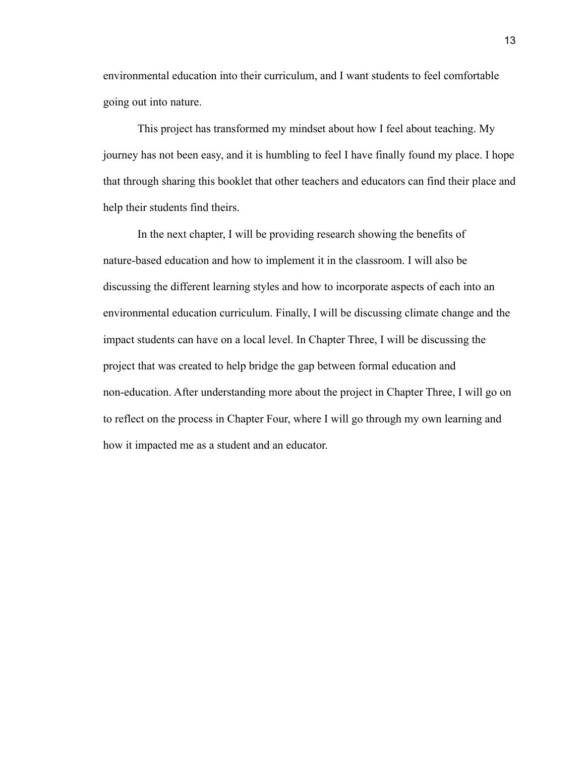environmental education into their curriculum, and I want students to feel comfortable going out into nature.

This project has transformed my mindset about how I feel about teaching. My journey has not been easy, and it is humbling to feel I have finally found my place. I hope that through sharing this booklet that other teachers and educators can find their place and help their students find theirs.

In the next chapter, I will be providing research showing the benefits of nature-based education and how to implement it in the classroom. I will also be discussing the different learning styles and how to incorporate aspects of each into an environmental education curriculum. Finally, I will be discussing climate change and the impact students can have on a local level. In Chapter Three, I will be discussing the project that was created to help bridge the gap between formal education and non-education. After understanding more about the project in Chapter Three, I will go on to reflect on the process in Chapter Four, where I will go through my own learning and how it impacted me as a student and an educator.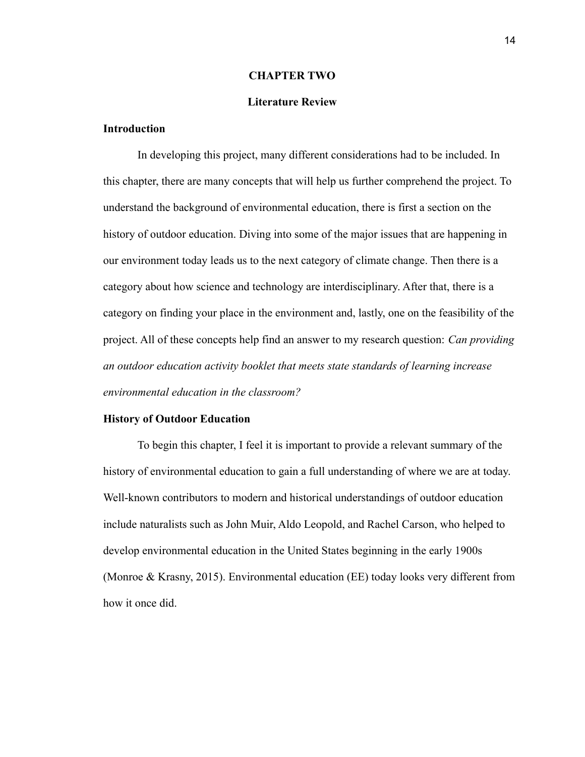#### **CHAPTER TWO**

#### **Literature Review**

## **Introduction**

In developing this project, many different considerations had to be included. In this chapter, there are many concepts that will help us further comprehend the project. To understand the background of environmental education, there is first a section on the history of outdoor education. Diving into some of the major issues that are happening in our environment today leads us to the next category of climate change. Then there is a category about how science and technology are interdisciplinary. After that, there is a category on finding your place in the environment and, lastly, one on the feasibility of the project. All of these concepts help find an answer to my research question: *Can providing an outdoor education activity booklet that meets state standards of learning increase environmental education in the classroom?*

#### **History of Outdoor Education**

To begin this chapter, I feel it is important to provide a relevant summary of the history of environmental education to gain a full understanding of where we are at today. Well-known contributors to modern and historical understandings of outdoor education include naturalists such as John Muir, Aldo Leopold, and Rachel Carson, who helped to develop environmental education in the United States beginning in the early 1900s (Monroe & Krasny, 2015). Environmental education (EE) today looks very different from how it once did.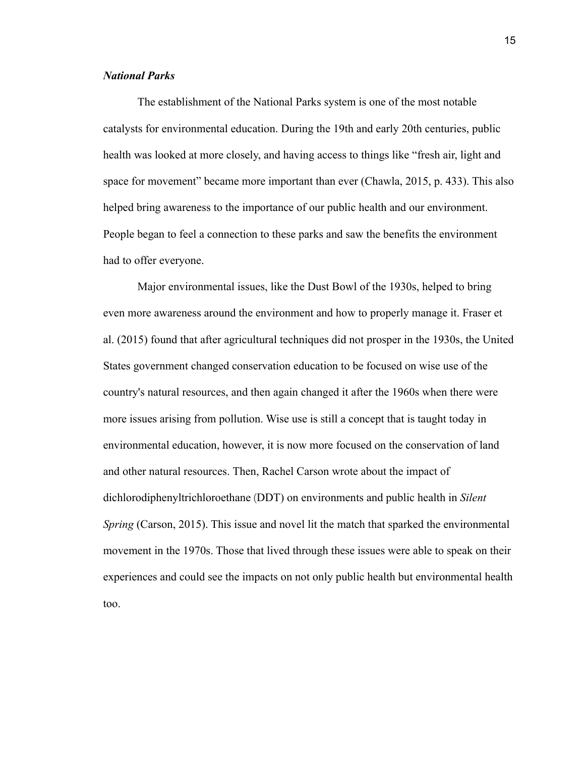#### *National Parks*

The establishment of the National Parks system is one of the most notable catalysts for environmental education. During the 19th and early 20th centuries, public health was looked at more closely, and having access to things like "fresh air, light and space for movement" became more important than ever (Chawla, 2015, p. 433). This also helped bring awareness to the importance of our public health and our environment. People began to feel a connection to these parks and saw the benefits the environment had to offer everyone.

Major environmental issues, like the Dust Bowl of the 1930s, helped to bring even more awareness around the environment and how to properly manage it. Fraser et al. (2015) found that after agricultural techniques did not prosper in the 1930s, the United States government changed conservation education to be focused on wise use of the country's natural resources, and then again changed it after the 1960s when there were more issues arising from pollution. Wise use is still a concept that is taught today in environmental education, however, it is now more focused on the conservation of land and other natural resources. Then, Rachel Carson wrote about the impact of dichlorodiphenyltrichloroethane (DDT) on environments and public health in *Silent Spring* (Carson, 2015). This issue and novel lit the match that sparked the environmental movement in the 1970s. Those that lived through these issues were able to speak on their experiences and could see the impacts on not only public health but environmental health too.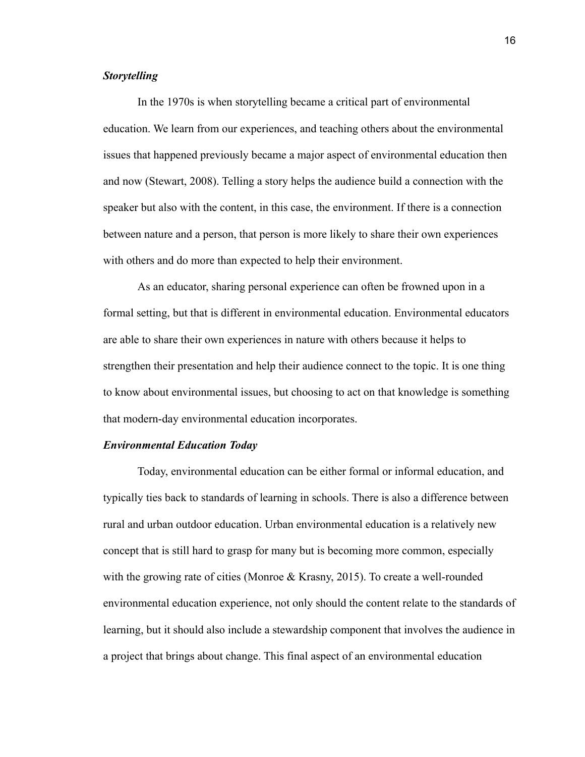## *Storytelling*

In the 1970s is when storytelling became a critical part of environmental education. We learn from our experiences, and teaching others about the environmental issues that happened previously became a major aspect of environmental education then and now (Stewart, 2008). Telling a story helps the audience build a connection with the speaker but also with the content, in this case, the environment. If there is a connection between nature and a person, that person is more likely to share their own experiences with others and do more than expected to help their environment.

As an educator, sharing personal experience can often be frowned upon in a formal setting, but that is different in environmental education. Environmental educators are able to share their own experiences in nature with others because it helps to strengthen their presentation and help their audience connect to the topic. It is one thing to know about environmental issues, but choosing to act on that knowledge is something that modern-day environmental education incorporates.

#### *Environmental Education Today*

Today, environmental education can be either formal or informal education, and typically ties back to standards of learning in schools. There is also a difference between rural and urban outdoor education. Urban environmental education is a relatively new concept that is still hard to grasp for many but is becoming more common, especially with the growing rate of cities (Monroe & Krasny, 2015). To create a well-rounded environmental education experience, not only should the content relate to the standards of learning, but it should also include a stewardship component that involves the audience in a project that brings about change. This final aspect of an environmental education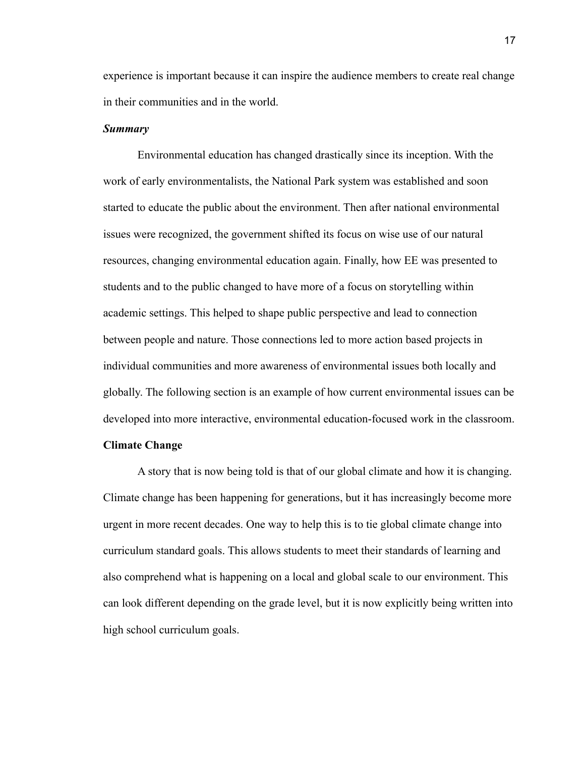experience is important because it can inspire the audience members to create real change in their communities and in the world.

#### *Summary*

Environmental education has changed drastically since its inception. With the work of early environmentalists, the National Park system was established and soon started to educate the public about the environment. Then after national environmental issues were recognized, the government shifted its focus on wise use of our natural resources, changing environmental education again. Finally, how EE was presented to students and to the public changed to have more of a focus on storytelling within academic settings. This helped to shape public perspective and lead to connection between people and nature. Those connections led to more action based projects in individual communities and more awareness of environmental issues both locally and globally. The following section is an example of how current environmental issues can be developed into more interactive, environmental education-focused work in the classroom.

#### **Climate Change**

A story that is now being told is that of our global climate and how it is changing. Climate change has been happening for generations, but it has increasingly become more urgent in more recent decades. One way to help this is to tie global climate change into curriculum standard goals. This allows students to meet their standards of learning and also comprehend what is happening on a local and global scale to our environment. This can look different depending on the grade level, but it is now explicitly being written into high school curriculum goals.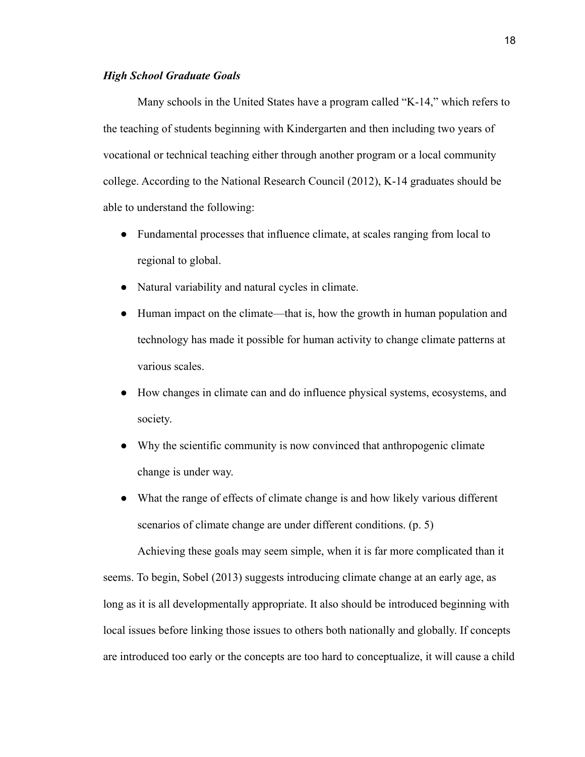#### *High School Graduate Goals*

Many schools in the United States have a program called "K-14," which refers to the teaching of students beginning with Kindergarten and then including two years of vocational or technical teaching either through another program or a local community college. According to the National Research Council (2012), K-14 graduates should be able to understand the following:

- Fundamental processes that influence climate, at scales ranging from local to regional to global.
- Natural variability and natural cycles in climate.
- Human impact on the climate—that is, how the growth in human population and technology has made it possible for human activity to change climate patterns at various scales.
- How changes in climate can and do influence physical systems, ecosystems, and society.
- Why the scientific community is now convinced that anthropogenic climate change is under way.
- What the range of effects of climate change is and how likely various different scenarios of climate change are under different conditions. (p. 5)

Achieving these goals may seem simple, when it is far more complicated than it seems. To begin, Sobel (2013) suggests introducing climate change at an early age, as long as it is all developmentally appropriate. It also should be introduced beginning with local issues before linking those issues to others both nationally and globally. If concepts are introduced too early or the concepts are too hard to conceptualize, it will cause a child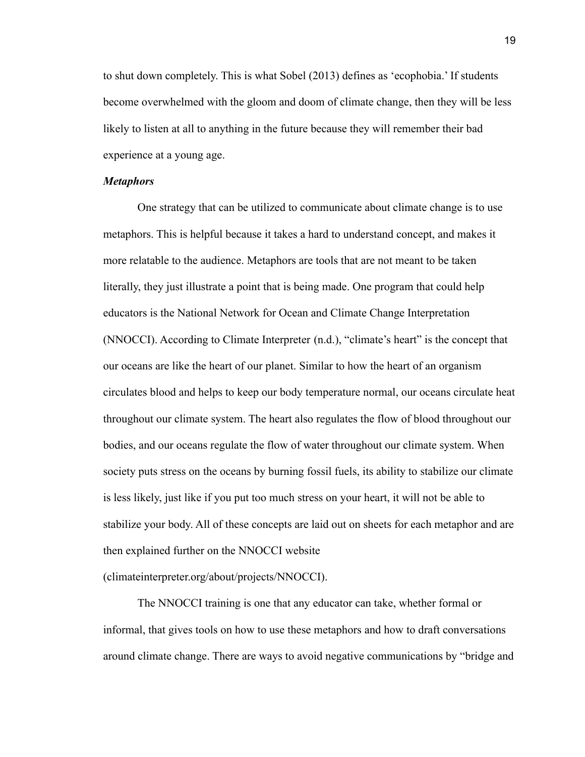to shut down completely. This is what Sobel (2013) defines as 'ecophobia.' If students become overwhelmed with the gloom and doom of climate change, then they will be less likely to listen at all to anything in the future because they will remember their bad experience at a young age.

#### *Metaphors*

One strategy that can be utilized to communicate about climate change is to use metaphors. This is helpful because it takes a hard to understand concept, and makes it more relatable to the audience. Metaphors are tools that are not meant to be taken literally, they just illustrate a point that is being made. One program that could help educators is the National Network for Ocean and Climate Change Interpretation (NNOCCI). According to Climate Interpreter (n.d.), "climate's heart" is the concept that our oceans are like the heart of our planet. Similar to how the heart of an organism circulates blood and helps to keep our body temperature normal, our oceans circulate heat throughout our climate system. The heart also regulates the flow of blood throughout our bodies, and our oceans regulate the flow of water throughout our climate system. When society puts stress on the oceans by burning fossil fuels, its ability to stabilize our climate is less likely, just like if you put too much stress on your heart, it will not be able to stabilize your body. All of these concepts are laid out on sheets for each metaphor and are then explained further on the NNOCCI website

(climateinterpreter.org/about/projects/NNOCCI).

The NNOCCI training is one that any educator can take, whether formal or informal, that gives tools on how to use these metaphors and how to draft conversations around climate change. There are ways to avoid negative communications by "bridge and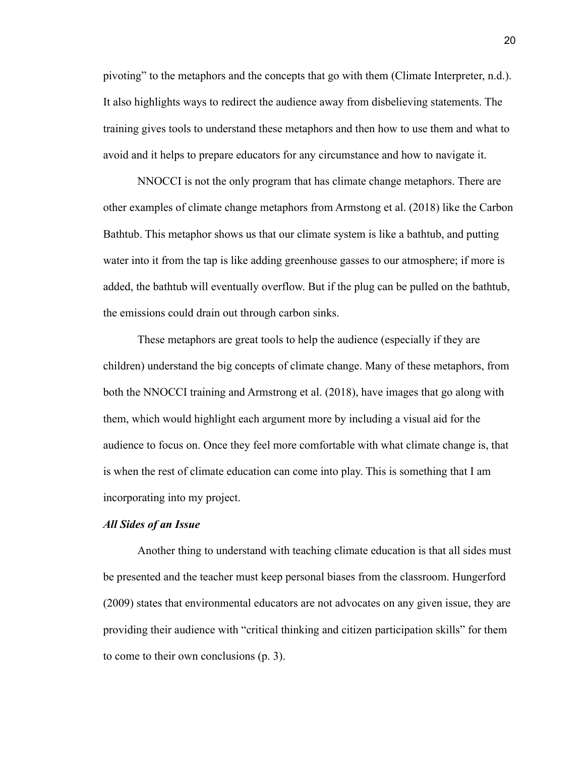pivoting" to the metaphors and the concepts that go with them (Climate Interpreter, n.d.). It also highlights ways to redirect the audience away from disbelieving statements. The training gives tools to understand these metaphors and then how to use them and what to avoid and it helps to prepare educators for any circumstance and how to navigate it.

NNOCCI is not the only program that has climate change metaphors. There are other examples of climate change metaphors from Armstong et al. (2018) like the Carbon Bathtub. This metaphor shows us that our climate system is like a bathtub, and putting water into it from the tap is like adding greenhouse gasses to our atmosphere; if more is added, the bathtub will eventually overflow. But if the plug can be pulled on the bathtub, the emissions could drain out through carbon sinks.

These metaphors are great tools to help the audience (especially if they are children) understand the big concepts of climate change. Many of these metaphors, from both the NNOCCI training and Armstrong et al. (2018), have images that go along with them, which would highlight each argument more by including a visual aid for the audience to focus on. Once they feel more comfortable with what climate change is, that is when the rest of climate education can come into play. This is something that I am incorporating into my project.

#### *All Sides of an Issue*

Another thing to understand with teaching climate education is that all sides must be presented and the teacher must keep personal biases from the classroom. Hungerford (2009) states that environmental educators are not advocates on any given issue, they are providing their audience with "critical thinking and citizen participation skills" for them to come to their own conclusions (p. 3).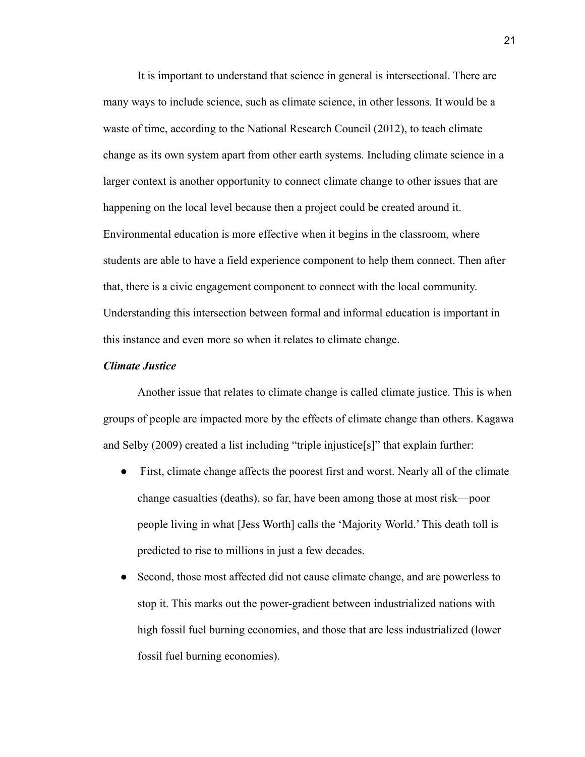It is important to understand that science in general is intersectional. There are many ways to include science, such as climate science, in other lessons. It would be a waste of time, according to the National Research Council (2012), to teach climate change as its own system apart from other earth systems. Including climate science in a larger context is another opportunity to connect climate change to other issues that are happening on the local level because then a project could be created around it. Environmental education is more effective when it begins in the classroom, where students are able to have a field experience component to help them connect. Then after that, there is a civic engagement component to connect with the local community. Understanding this intersection between formal and informal education is important in this instance and even more so when it relates to climate change.

#### *Climate Justice*

Another issue that relates to climate change is called climate justice. This is when groups of people are impacted more by the effects of climate change than others. Kagawa and Selby (2009) created a list including "triple injustice[s]" that explain further:

- First, climate change affects the poorest first and worst. Nearly all of the climate change casualties (deaths), so far, have been among those at most risk—poor people living in what [Jess Worth] calls the 'Majority World.' This death toll is predicted to rise to millions in just a few decades.
- Second, those most affected did not cause climate change, and are powerless to stop it. This marks out the power-gradient between industrialized nations with high fossil fuel burning economies, and those that are less industrialized (lower fossil fuel burning economies).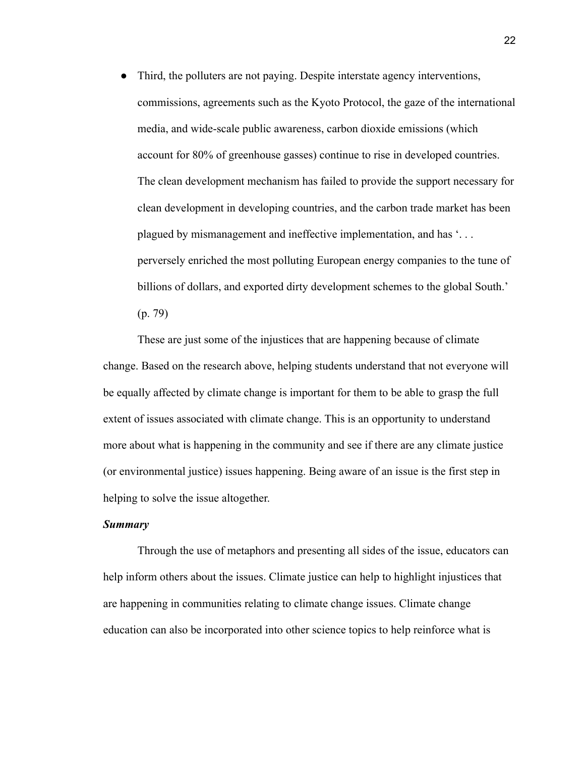• Third, the polluters are not paying. Despite interstate agency interventions, commissions, agreements such as the Kyoto Protocol, the gaze of the international media, and wide-scale public awareness, carbon dioxide emissions (which account for 80% of greenhouse gasses) continue to rise in developed countries. The clean development mechanism has failed to provide the support necessary for clean development in developing countries, and the carbon trade market has been plagued by mismanagement and ineffective implementation, and has '. . . perversely enriched the most polluting European energy companies to the tune of billions of dollars, and exported dirty development schemes to the global South.' (p. 79)

These are just some of the injustices that are happening because of climate change. Based on the research above, helping students understand that not everyone will be equally affected by climate change is important for them to be able to grasp the full extent of issues associated with climate change. This is an opportunity to understand more about what is happening in the community and see if there are any climate justice (or environmental justice) issues happening. Being aware of an issue is the first step in helping to solve the issue altogether.

#### *Summary*

Through the use of metaphors and presenting all sides of the issue, educators can help inform others about the issues. Climate justice can help to highlight injustices that are happening in communities relating to climate change issues. Climate change education can also be incorporated into other science topics to help reinforce what is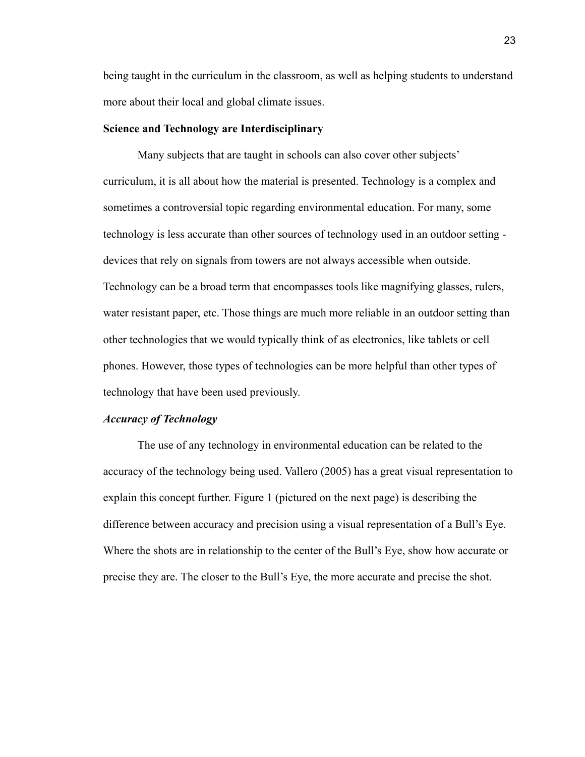being taught in the curriculum in the classroom, as well as helping students to understand more about their local and global climate issues.

#### **Science and Technology are Interdisciplinary**

Many subjects that are taught in schools can also cover other subjects' curriculum, it is all about how the material is presented. Technology is a complex and sometimes a controversial topic regarding environmental education. For many, some technology is less accurate than other sources of technology used in an outdoor setting devices that rely on signals from towers are not always accessible when outside. Technology can be a broad term that encompasses tools like magnifying glasses, rulers, water resistant paper, etc. Those things are much more reliable in an outdoor setting than other technologies that we would typically think of as electronics, like tablets or cell phones. However, those types of technologies can be more helpful than other types of technology that have been used previously.

#### *Accuracy of Technology*

The use of any technology in environmental education can be related to the accuracy of the technology being used. Vallero (2005) has a great visual representation to explain this concept further. Figure 1 (pictured on the next page) is describing the difference between accuracy and precision using a visual representation of a Bull's Eye. Where the shots are in relationship to the center of the Bull's Eye, show how accurate or precise they are. The closer to the Bull's Eye, the more accurate and precise the shot.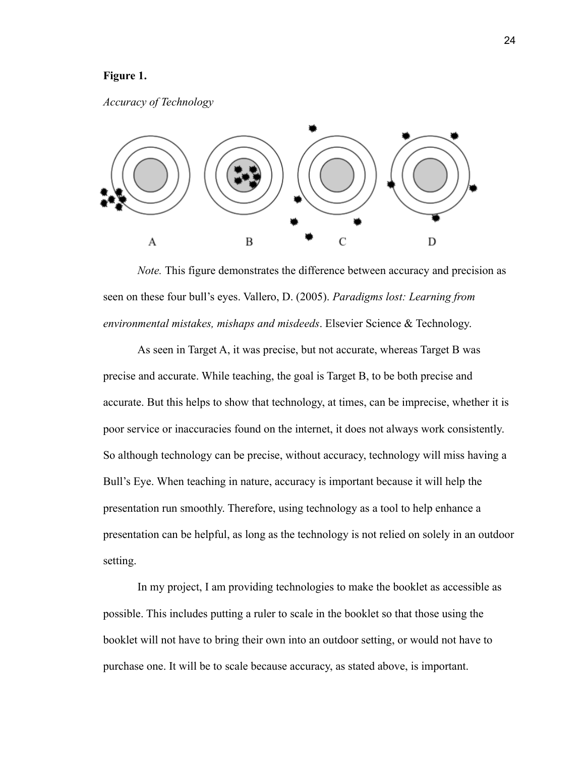#### **Figure 1.**

#### *Accuracy of Technology*



*Note.* This figure demonstrates the difference between accuracy and precision as seen on these four bull's eyes. Vallero, D. (2005). *Paradigms lost: Learning from environmental mistakes, mishaps and misdeeds*. Elsevier Science & Technology.

As seen in Target A, it was precise, but not accurate, whereas Target B was precise and accurate. While teaching, the goal is Target B, to be both precise and accurate. But this helps to show that technology, at times, can be imprecise, whether it is poor service or inaccuracies found on the internet, it does not always work consistently. So although technology can be precise, without accuracy, technology will miss having a Bull's Eye. When teaching in nature, accuracy is important because it will help the presentation run smoothly. Therefore, using technology as a tool to help enhance a presentation can be helpful, as long as the technology is not relied on solely in an outdoor setting.

In my project, I am providing technologies to make the booklet as accessible as possible. This includes putting a ruler to scale in the booklet so that those using the booklet will not have to bring their own into an outdoor setting, or would not have to purchase one. It will be to scale because accuracy, as stated above, is important.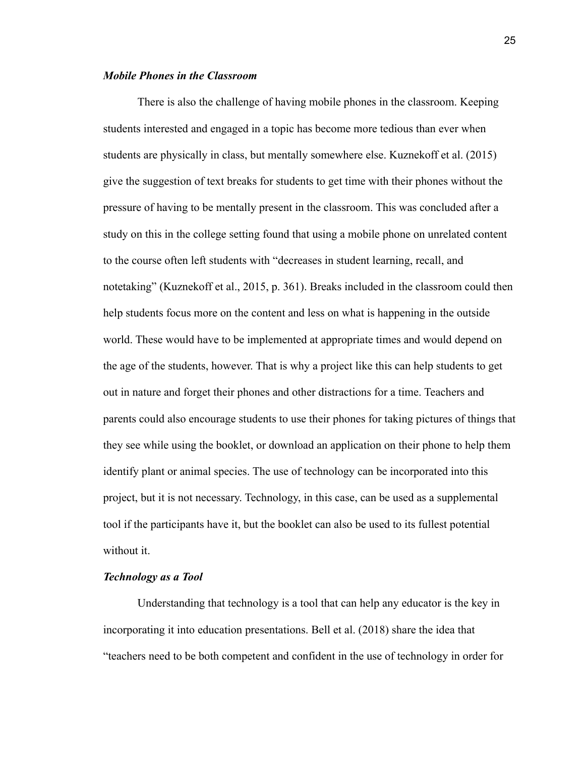#### *Mobile Phones in the Classroom*

There is also the challenge of having mobile phones in the classroom. Keeping students interested and engaged in a topic has become more tedious than ever when students are physically in class, but mentally somewhere else. Kuznekoff et al. (2015) give the suggestion of text breaks for students to get time with their phones without the pressure of having to be mentally present in the classroom. This was concluded after a study on this in the college setting found that using a mobile phone on unrelated content to the course often left students with "decreases in student learning, recall, and notetaking" (Kuznekoff et al., 2015, p. 361). Breaks included in the classroom could then help students focus more on the content and less on what is happening in the outside world. These would have to be implemented at appropriate times and would depend on the age of the students, however. That is why a project like this can help students to get out in nature and forget their phones and other distractions for a time. Teachers and parents could also encourage students to use their phones for taking pictures of things that they see while using the booklet, or download an application on their phone to help them identify plant or animal species. The use of technology can be incorporated into this project, but it is not necessary. Technology, in this case, can be used as a supplemental tool if the participants have it, but the booklet can also be used to its fullest potential without it.

#### *Technology as a Tool*

Understanding that technology is a tool that can help any educator is the key in incorporating it into education presentations. Bell et al. (2018) share the idea that "teachers need to be both competent and confident in the use of technology in order for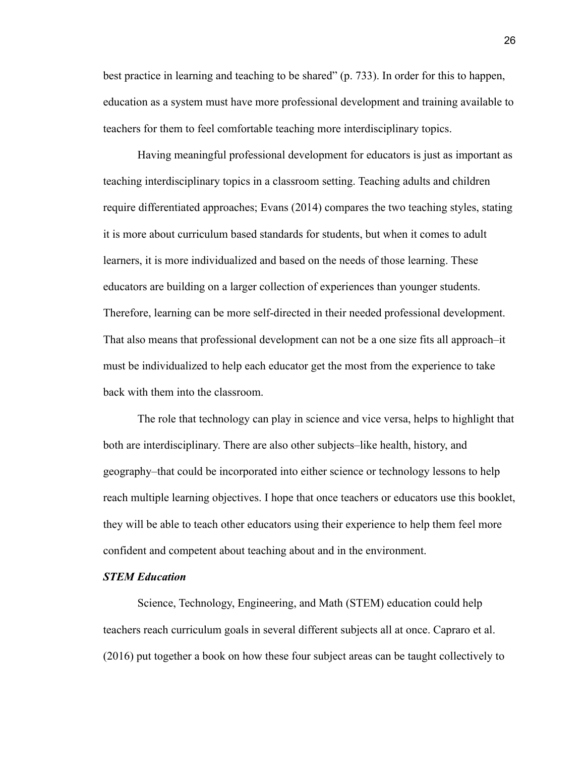best practice in learning and teaching to be shared" (p. 733). In order for this to happen, education as a system must have more professional development and training available to teachers for them to feel comfortable teaching more interdisciplinary topics.

Having meaningful professional development for educators is just as important as teaching interdisciplinary topics in a classroom setting. Teaching adults and children require differentiated approaches; Evans (2014) compares the two teaching styles, stating it is more about curriculum based standards for students, but when it comes to adult learners, it is more individualized and based on the needs of those learning. These educators are building on a larger collection of experiences than younger students. Therefore, learning can be more self-directed in their needed professional development. That also means that professional development can not be a one size fits all approach–it must be individualized to help each educator get the most from the experience to take back with them into the classroom.

The role that technology can play in science and vice versa, helps to highlight that both are interdisciplinary. There are also other subjects–like health, history, and geography–that could be incorporated into either science or technology lessons to help reach multiple learning objectives. I hope that once teachers or educators use this booklet, they will be able to teach other educators using their experience to help them feel more confident and competent about teaching about and in the environment.

#### *STEM Education*

Science, Technology, Engineering, and Math (STEM) education could help teachers reach curriculum goals in several different subjects all at once. Capraro et al. (2016) put together a book on how these four subject areas can be taught collectively to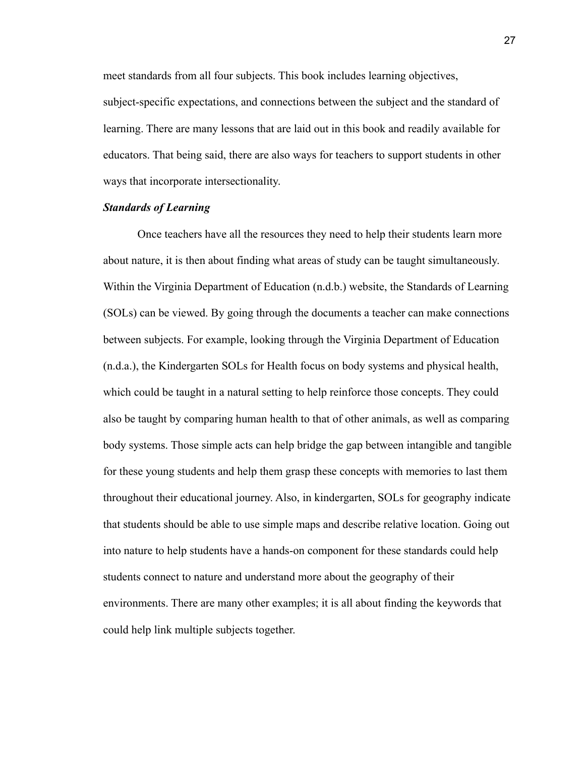meet standards from all four subjects. This book includes learning objectives, subject-specific expectations, and connections between the subject and the standard of learning. There are many lessons that are laid out in this book and readily available for educators. That being said, there are also ways for teachers to support students in other ways that incorporate intersectionality.

#### *Standards of Learning*

Once teachers have all the resources they need to help their students learn more about nature, it is then about finding what areas of study can be taught simultaneously. Within the Virginia Department of Education (n.d.b.) website, the Standards of Learning (SOLs) can be viewed. By going through the documents a teacher can make connections between subjects. For example, looking through the Virginia Department of Education (n.d.a.), the Kindergarten SOLs for Health focus on body systems and physical health, which could be taught in a natural setting to help reinforce those concepts. They could also be taught by comparing human health to that of other animals, as well as comparing body systems. Those simple acts can help bridge the gap between intangible and tangible for these young students and help them grasp these concepts with memories to last them throughout their educational journey. Also, in kindergarten, SOLs for geography indicate that students should be able to use simple maps and describe relative location. Going out into nature to help students have a hands-on component for these standards could help students connect to nature and understand more about the geography of their environments. There are many other examples; it is all about finding the keywords that could help link multiple subjects together.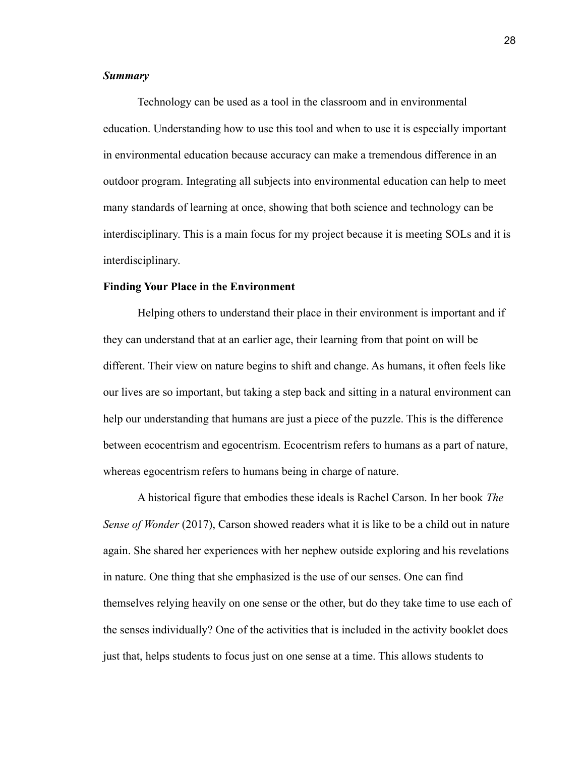#### *Summary*

Technology can be used as a tool in the classroom and in environmental education. Understanding how to use this tool and when to use it is especially important in environmental education because accuracy can make a tremendous difference in an outdoor program. Integrating all subjects into environmental education can help to meet many standards of learning at once, showing that both science and technology can be interdisciplinary. This is a main focus for my project because it is meeting SOLs and it is interdisciplinary.

#### **Finding Your Place in the Environment**

Helping others to understand their place in their environment is important and if they can understand that at an earlier age, their learning from that point on will be different. Their view on nature begins to shift and change. As humans, it often feels like our lives are so important, but taking a step back and sitting in a natural environment can help our understanding that humans are just a piece of the puzzle. This is the difference between ecocentrism and egocentrism. Ecocentrism refers to humans as a part of nature, whereas egocentrism refers to humans being in charge of nature.

A historical figure that embodies these ideals is Rachel Carson. In her book *The Sense of Wonder* (2017), Carson showed readers what it is like to be a child out in nature again. She shared her experiences with her nephew outside exploring and his revelations in nature. One thing that she emphasized is the use of our senses. One can find themselves relying heavily on one sense or the other, but do they take time to use each of the senses individually? One of the activities that is included in the activity booklet does just that, helps students to focus just on one sense at a time. This allows students to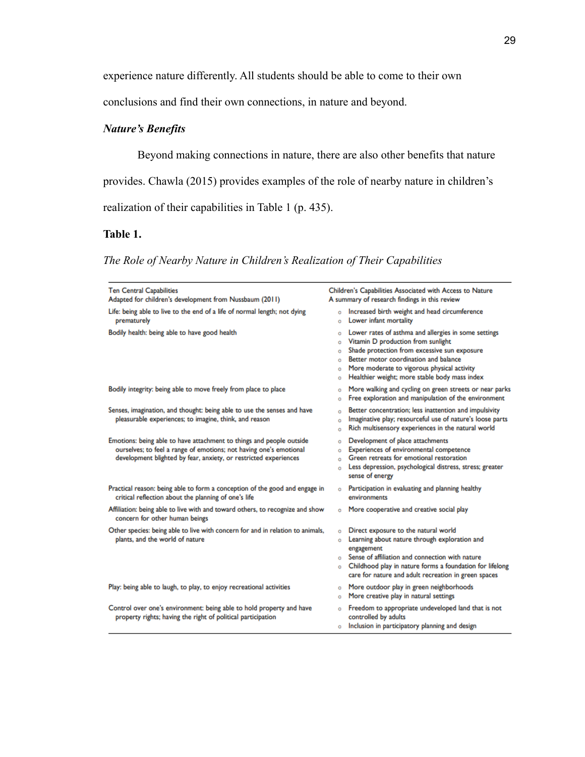experience nature differently. All students should be able to come to their own

conclusions and find their own connections, in nature and beyond.

# *Nature's Benefits*

Beyond making connections in nature, there are also other benefits that nature

provides. Chawla (2015) provides examples of the role of nearby nature in children's

realization of their capabilities in Table 1 (p. 435).

# **Table 1.**

*The Role of Nearby Nature in Children's Realization of Their Capabilities*

| <b>Ten Central Capabilities</b><br>Adapted for children's development from Nussbaum (2011)                                                                                                                     | Children's Capabilities Associated with Access to Nature<br>A summary of research findings in this review                                                                                                                                                                                                         |
|----------------------------------------------------------------------------------------------------------------------------------------------------------------------------------------------------------------|-------------------------------------------------------------------------------------------------------------------------------------------------------------------------------------------------------------------------------------------------------------------------------------------------------------------|
| Life: being able to live to the end of a life of normal length; not dying<br>prematurely                                                                                                                       | Increased birth weight and head circumference<br>Ó<br>Lower infant mortality<br>Ó                                                                                                                                                                                                                                 |
| Bodily health: being able to have good health                                                                                                                                                                  | Lower rates of asthma and allergies in some settings<br>Ó<br>Vitamin D production from sunlight<br>Ò<br>Shade protection from excessive sun exposure<br>Ò<br>Better motor coordination and balance<br>Ó<br>More moderate to vigorous physical activity<br>Ó<br>Healthier weight; more stable body mass index<br>Ó |
| Bodily integrity: being able to move freely from place to place                                                                                                                                                | More walking and cycling on green streets or near parks<br>Ò<br>Free exploration and manipulation of the environment<br>Ò                                                                                                                                                                                         |
| Senses, imagination, and thought: being able to use the senses and have<br>pleasurable experiences; to imagine, think, and reason                                                                              | Better concentration; less inattention and impulsivity<br>Ò<br>Imaginative play; resourceful use of nature's loose parts<br>Ò<br>Rich multisensory experiences in the natural world<br>Ò                                                                                                                          |
| Emotions: being able to have attachment to things and people outside<br>ourselves; to feel a range of emotions; not having one's emotional<br>development blighted by fear, anxiety, or restricted experiences | Development of place attachments<br>Ò<br>Experiences of environmental competence<br>Ó<br>Green retreats for emotional restoration<br>Ò<br>Less depression, psychological distress, stress; greater<br>Ò<br>sense of energy                                                                                        |
| Practical reason: being able to form a conception of the good and engage in<br>critical reflection about the planning of one's life                                                                            | Participation in evaluating and planning healthy<br>Ò<br>environments                                                                                                                                                                                                                                             |
| Affiliation: being able to live with and toward others, to recognize and show<br>concern for other human beings                                                                                                | More cooperative and creative social play<br>Ō                                                                                                                                                                                                                                                                    |
| Other species: being able to live with concern for and in relation to animals,<br>plants, and the world of nature                                                                                              | Direct exposure to the natural world<br>Ò<br>Learning about nature through exploration and<br>Ó<br>engagement<br>Sense of affiliation and connection with nature<br>Ó<br>Childhood play in nature forms a foundation for lifelong<br>Ò<br>care for nature and adult recreation in green spaces                    |
| Play: being able to laugh, to play, to enjoy recreational activities                                                                                                                                           | More outdoor play in green neighborhoods<br>Ò<br>More creative play in natural settings<br>Ò                                                                                                                                                                                                                      |
| Control over one's environment: being able to hold property and have<br>property rights; having the right of political participation                                                                           | Freedom to appropriate undeveloped land that is not<br>Ò<br>controlled by adults<br>Inclusion in participatory planning and design<br>Ŏ                                                                                                                                                                           |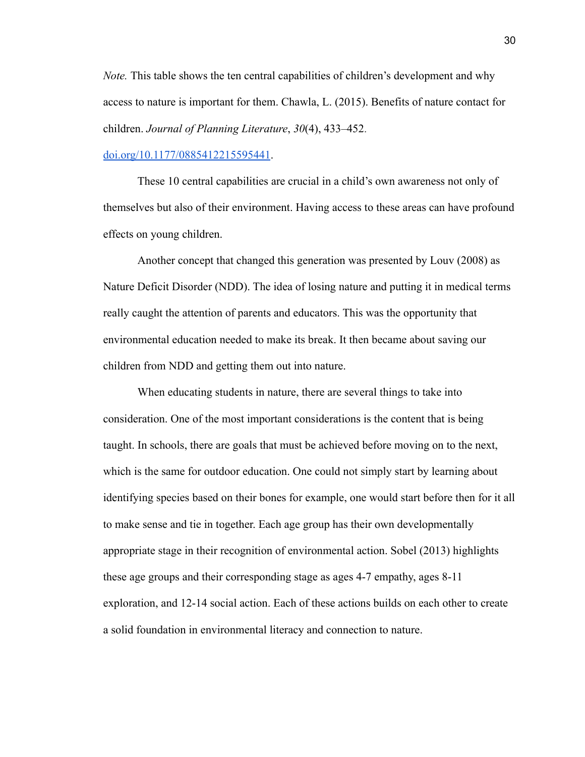*Note.* This table shows the ten central capabilities of children's development and why access to nature is important for them. Chawla, L. (2015). Benefits of nature contact for children. *Journal of Planning Literature*, *30*(4), 433–452.

#### [doi.org/10.1177/0885412215595441](https://doi.org/10.1177/0885412215595441).

These 10 central capabilities are crucial in a child's own awareness not only of themselves but also of their environment. Having access to these areas can have profound effects on young children.

Another concept that changed this generation was presented by Louv (2008) as Nature Deficit Disorder (NDD). The idea of losing nature and putting it in medical terms really caught the attention of parents and educators. This was the opportunity that environmental education needed to make its break. It then became about saving our children from NDD and getting them out into nature.

When educating students in nature, there are several things to take into consideration. One of the most important considerations is the content that is being taught. In schools, there are goals that must be achieved before moving on to the next, which is the same for outdoor education. One could not simply start by learning about identifying species based on their bones for example, one would start before then for it all to make sense and tie in together. Each age group has their own developmentally appropriate stage in their recognition of environmental action. Sobel (2013) highlights these age groups and their corresponding stage as ages 4-7 empathy, ages 8-11 exploration, and 12-14 social action. Each of these actions builds on each other to create a solid foundation in environmental literacy and connection to nature.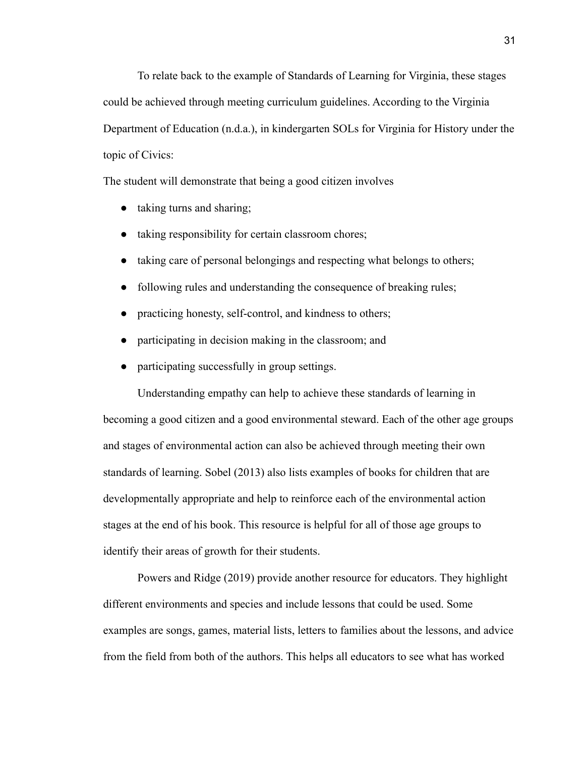To relate back to the example of Standards of Learning for Virginia, these stages could be achieved through meeting curriculum guidelines. According to the Virginia Department of Education (n.d.a.), in kindergarten SOLs for Virginia for History under the topic of Civics:

The student will demonstrate that being a good citizen involves

- taking turns and sharing;
- taking responsibility for certain classroom chores;
- taking care of personal belongings and respecting what belongs to others;
- following rules and understanding the consequence of breaking rules;
- practicing honesty, self-control, and kindness to others;
- participating in decision making in the classroom; and
- participating successfully in group settings.

Understanding empathy can help to achieve these standards of learning in becoming a good citizen and a good environmental steward. Each of the other age groups and stages of environmental action can also be achieved through meeting their own standards of learning. Sobel (2013) also lists examples of books for children that are developmentally appropriate and help to reinforce each of the environmental action stages at the end of his book. This resource is helpful for all of those age groups to identify their areas of growth for their students.

Powers and Ridge (2019) provide another resource for educators. They highlight different environments and species and include lessons that could be used. Some examples are songs, games, material lists, letters to families about the lessons, and advice from the field from both of the authors. This helps all educators to see what has worked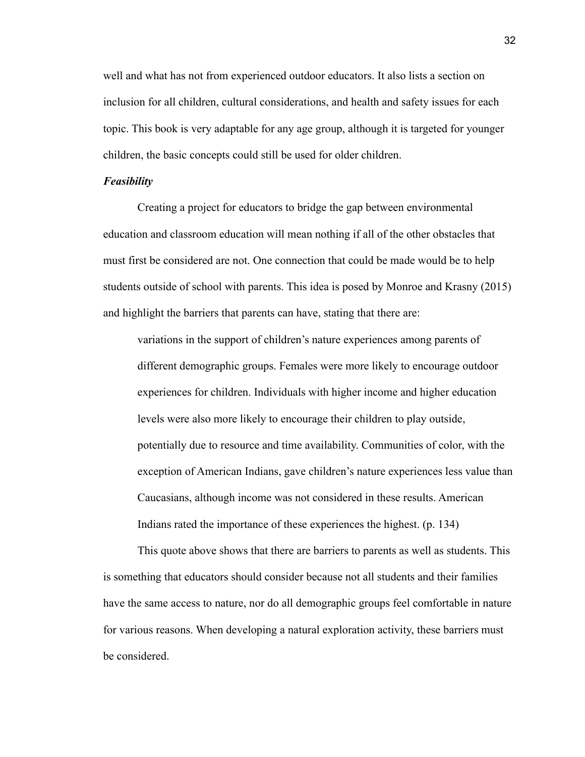well and what has not from experienced outdoor educators. It also lists a section on inclusion for all children, cultural considerations, and health and safety issues for each topic. This book is very adaptable for any age group, although it is targeted for younger children, the basic concepts could still be used for older children.

#### *Feasibility*

Creating a project for educators to bridge the gap between environmental education and classroom education will mean nothing if all of the other obstacles that must first be considered are not. One connection that could be made would be to help students outside of school with parents. This idea is posed by Monroe and Krasny (2015) and highlight the barriers that parents can have, stating that there are:

variations in the support of children's nature experiences among parents of different demographic groups. Females were more likely to encourage outdoor experiences for children. Individuals with higher income and higher education levels were also more likely to encourage their children to play outside, potentially due to resource and time availability. Communities of color, with the exception of American Indians, gave children's nature experiences less value than Caucasians, although income was not considered in these results. American Indians rated the importance of these experiences the highest. (p. 134)

This quote above shows that there are barriers to parents as well as students. This is something that educators should consider because not all students and their families have the same access to nature, nor do all demographic groups feel comfortable in nature for various reasons. When developing a natural exploration activity, these barriers must be considered.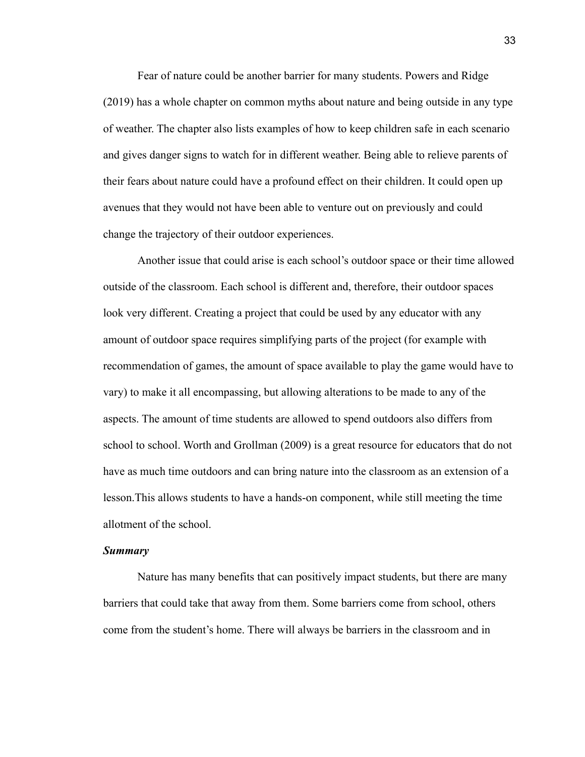Fear of nature could be another barrier for many students. Powers and Ridge (2019) has a whole chapter on common myths about nature and being outside in any type of weather. The chapter also lists examples of how to keep children safe in each scenario and gives danger signs to watch for in different weather. Being able to relieve parents of their fears about nature could have a profound effect on their children. It could open up avenues that they would not have been able to venture out on previously and could change the trajectory of their outdoor experiences.

Another issue that could arise is each school's outdoor space or their time allowed outside of the classroom. Each school is different and, therefore, their outdoor spaces look very different. Creating a project that could be used by any educator with any amount of outdoor space requires simplifying parts of the project (for example with recommendation of games, the amount of space available to play the game would have to vary) to make it all encompassing, but allowing alterations to be made to any of the aspects. The amount of time students are allowed to spend outdoors also differs from school to school. Worth and Grollman (2009) is a great resource for educators that do not have as much time outdoors and can bring nature into the classroom as an extension of a lesson.This allows students to have a hands-on component, while still meeting the time allotment of the school.

#### *Summary*

Nature has many benefits that can positively impact students, but there are many barriers that could take that away from them. Some barriers come from school, others come from the student's home. There will always be barriers in the classroom and in

33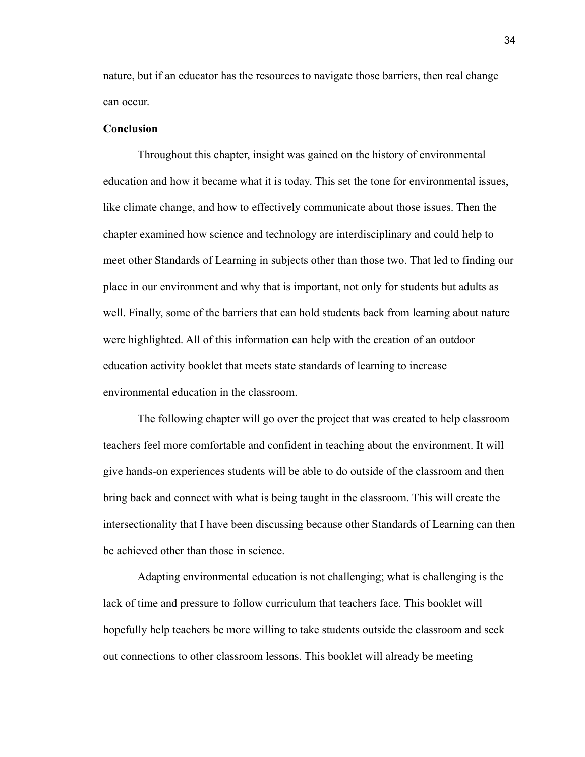nature, but if an educator has the resources to navigate those barriers, then real change can occur.

#### **Conclusion**

Throughout this chapter, insight was gained on the history of environmental education and how it became what it is today. This set the tone for environmental issues, like climate change, and how to effectively communicate about those issues. Then the chapter examined how science and technology are interdisciplinary and could help to meet other Standards of Learning in subjects other than those two. That led to finding our place in our environment and why that is important, not only for students but adults as well. Finally, some of the barriers that can hold students back from learning about nature were highlighted. All of this information can help with the creation of an outdoor education activity booklet that meets state standards of learning to increase environmental education in the classroom.

The following chapter will go over the project that was created to help classroom teachers feel more comfortable and confident in teaching about the environment. It will give hands-on experiences students will be able to do outside of the classroom and then bring back and connect with what is being taught in the classroom. This will create the intersectionality that I have been discussing because other Standards of Learning can then be achieved other than those in science.

Adapting environmental education is not challenging; what is challenging is the lack of time and pressure to follow curriculum that teachers face. This booklet will hopefully help teachers be more willing to take students outside the classroom and seek out connections to other classroom lessons. This booklet will already be meeting

34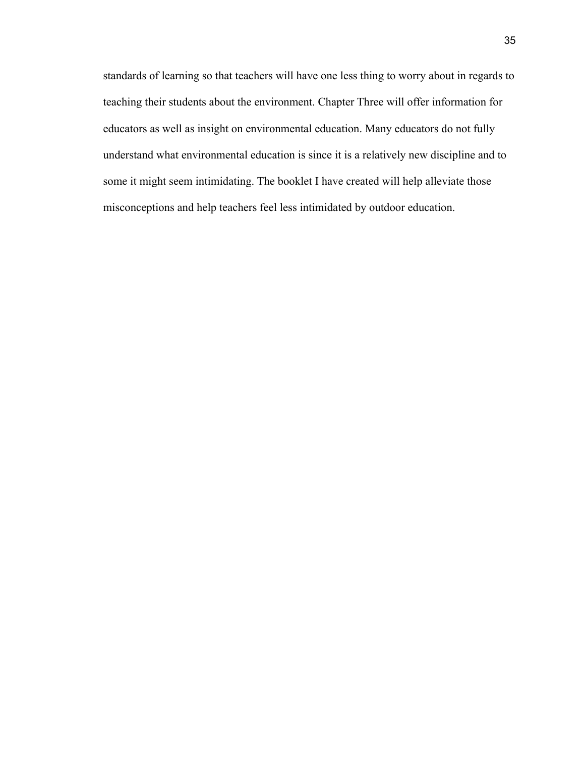standards of learning so that teachers will have one less thing to worry about in regards to teaching their students about the environment. Chapter Three will offer information for educators as well as insight on environmental education. Many educators do not fully understand what environmental education is since it is a relatively new discipline and to some it might seem intimidating. The booklet I have created will help alleviate those misconceptions and help teachers feel less intimidated by outdoor education.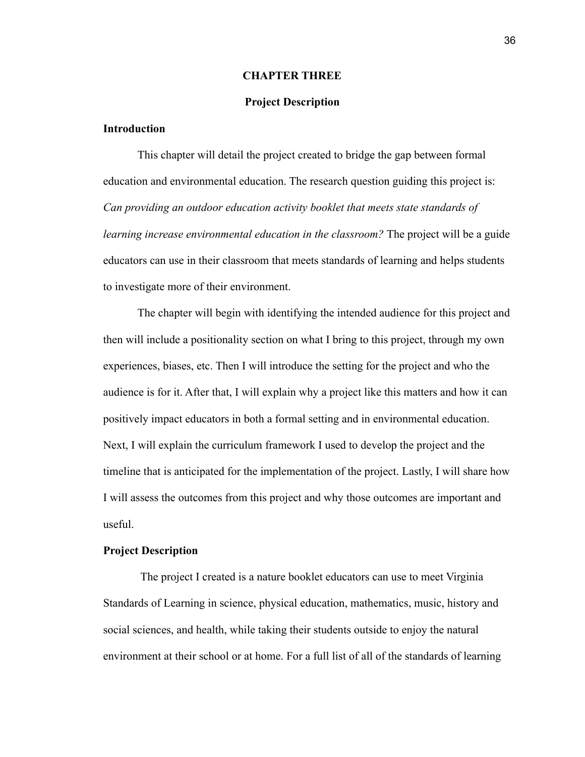#### **CHAPTER THREE**

#### **Project Description**

### **Introduction**

This chapter will detail the project created to bridge the gap between formal education and environmental education. The research question guiding this project is: *Can providing an outdoor education activity booklet that meets state standards of learning increase environmental education in the classroom?* The project will be a guide educators can use in their classroom that meets standards of learning and helps students to investigate more of their environment.

The chapter will begin with identifying the intended audience for this project and then will include a positionality section on what I bring to this project, through my own experiences, biases, etc. Then I will introduce the setting for the project and who the audience is for it. After that, I will explain why a project like this matters and how it can positively impact educators in both a formal setting and in environmental education. Next, I will explain the curriculum framework I used to develop the project and the timeline that is anticipated for the implementation of the project. Lastly, I will share how I will assess the outcomes from this project and why those outcomes are important and useful.

#### **Project Description**

The project I created is a nature booklet educators can use to meet Virginia Standards of Learning in science, physical education, mathematics, music, history and social sciences, and health, while taking their students outside to enjoy the natural environment at their school or at home. For a full list of all of the standards of learning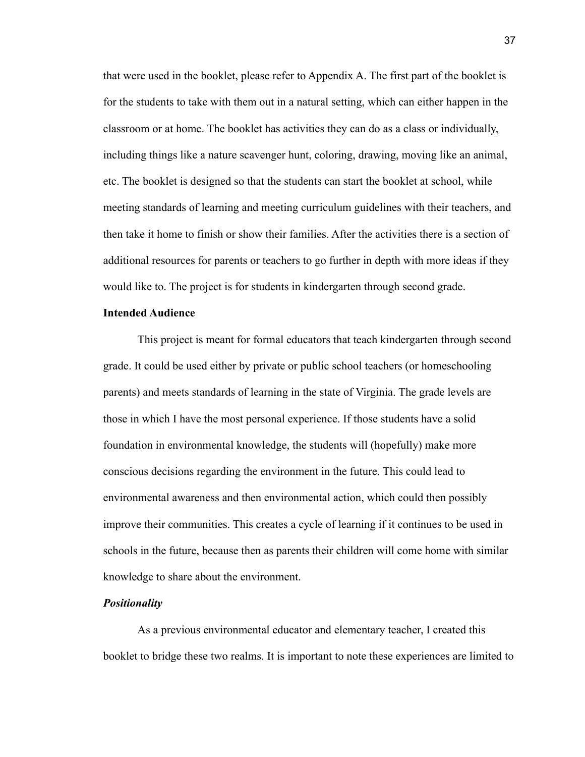that were used in the booklet, please refer to Appendix A. The first part of the booklet is for the students to take with them out in a natural setting, which can either happen in the classroom or at home. The booklet has activities they can do as a class or individually, including things like a nature scavenger hunt, coloring, drawing, moving like an animal, etc. The booklet is designed so that the students can start the booklet at school, while meeting standards of learning and meeting curriculum guidelines with their teachers, and then take it home to finish or show their families. After the activities there is a section of additional resources for parents or teachers to go further in depth with more ideas if they would like to. The project is for students in kindergarten through second grade.

#### **Intended Audience**

This project is meant for formal educators that teach kindergarten through second grade. It could be used either by private or public school teachers (or homeschooling parents) and meets standards of learning in the state of Virginia. The grade levels are those in which I have the most personal experience. If those students have a solid foundation in environmental knowledge, the students will (hopefully) make more conscious decisions regarding the environment in the future. This could lead to environmental awareness and then environmental action, which could then possibly improve their communities. This creates a cycle of learning if it continues to be used in schools in the future, because then as parents their children will come home with similar knowledge to share about the environment.

#### *Positionality*

As a previous environmental educator and elementary teacher, I created this booklet to bridge these two realms. It is important to note these experiences are limited to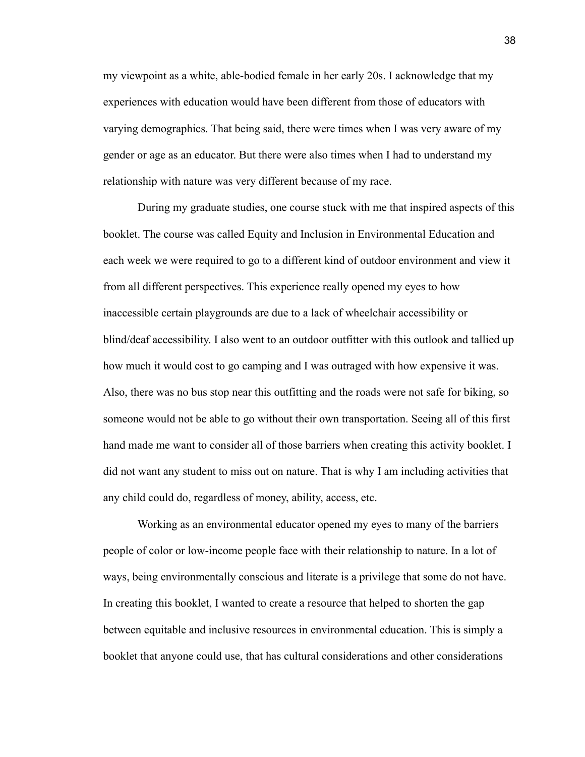my viewpoint as a white, able-bodied female in her early 20s. I acknowledge that my experiences with education would have been different from those of educators with varying demographics. That being said, there were times when I was very aware of my gender or age as an educator. But there were also times when I had to understand my relationship with nature was very different because of my race.

During my graduate studies, one course stuck with me that inspired aspects of this booklet. The course was called Equity and Inclusion in Environmental Education and each week we were required to go to a different kind of outdoor environment and view it from all different perspectives. This experience really opened my eyes to how inaccessible certain playgrounds are due to a lack of wheelchair accessibility or blind/deaf accessibility. I also went to an outdoor outfitter with this outlook and tallied up how much it would cost to go camping and I was outraged with how expensive it was. Also, there was no bus stop near this outfitting and the roads were not safe for biking, so someone would not be able to go without their own transportation. Seeing all of this first hand made me want to consider all of those barriers when creating this activity booklet. I did not want any student to miss out on nature. That is why I am including activities that any child could do, regardless of money, ability, access, etc.

Working as an environmental educator opened my eyes to many of the barriers people of color or low-income people face with their relationship to nature. In a lot of ways, being environmentally conscious and literate is a privilege that some do not have. In creating this booklet, I wanted to create a resource that helped to shorten the gap between equitable and inclusive resources in environmental education. This is simply a booklet that anyone could use, that has cultural considerations and other considerations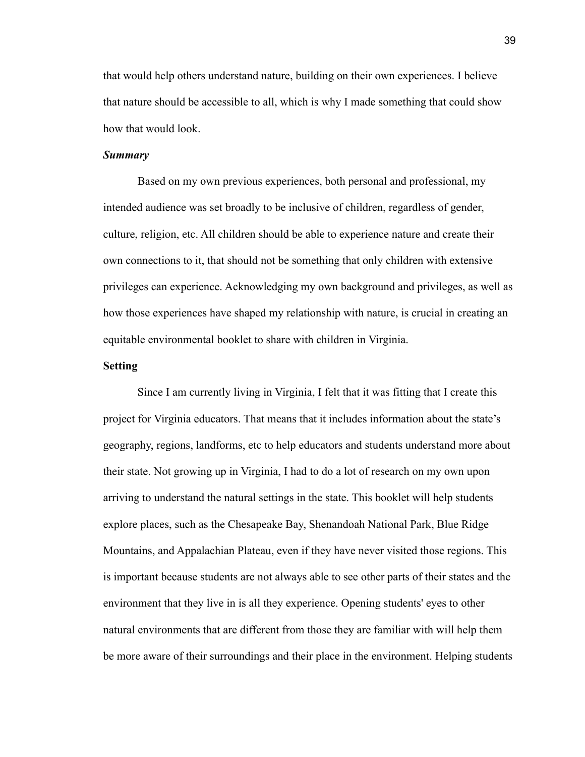that would help others understand nature, building on their own experiences. I believe that nature should be accessible to all, which is why I made something that could show how that would look.

#### *Summary*

Based on my own previous experiences, both personal and professional, my intended audience was set broadly to be inclusive of children, regardless of gender, culture, religion, etc. All children should be able to experience nature and create their own connections to it, that should not be something that only children with extensive privileges can experience. Acknowledging my own background and privileges, as well as how those experiences have shaped my relationship with nature, is crucial in creating an equitable environmental booklet to share with children in Virginia.

#### **Setting**

Since I am currently living in Virginia, I felt that it was fitting that I create this project for Virginia educators. That means that it includes information about the state's geography, regions, landforms, etc to help educators and students understand more about their state. Not growing up in Virginia, I had to do a lot of research on my own upon arriving to understand the natural settings in the state. This booklet will help students explore places, such as the Chesapeake Bay, Shenandoah National Park, Blue Ridge Mountains, and Appalachian Plateau, even if they have never visited those regions. This is important because students are not always able to see other parts of their states and the environment that they live in is all they experience. Opening students' eyes to other natural environments that are different from those they are familiar with will help them be more aware of their surroundings and their place in the environment. Helping students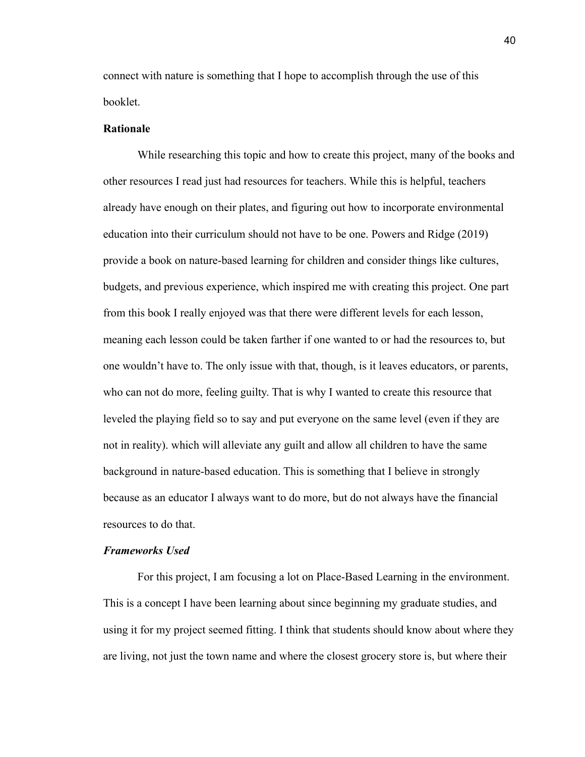connect with nature is something that I hope to accomplish through the use of this booklet.

#### **Rationale**

While researching this topic and how to create this project, many of the books and other resources I read just had resources for teachers. While this is helpful, teachers already have enough on their plates, and figuring out how to incorporate environmental education into their curriculum should not have to be one. Powers and Ridge (2019) provide a book on nature-based learning for children and consider things like cultures, budgets, and previous experience, which inspired me with creating this project. One part from this book I really enjoyed was that there were different levels for each lesson, meaning each lesson could be taken farther if one wanted to or had the resources to, but one wouldn't have to. The only issue with that, though, is it leaves educators, or parents, who can not do more, feeling guilty. That is why I wanted to create this resource that leveled the playing field so to say and put everyone on the same level (even if they are not in reality). which will alleviate any guilt and allow all children to have the same background in nature-based education. This is something that I believe in strongly because as an educator I always want to do more, but do not always have the financial resources to do that.

#### *Frameworks Used*

For this project, I am focusing a lot on Place-Based Learning in the environment. This is a concept I have been learning about since beginning my graduate studies, and using it for my project seemed fitting. I think that students should know about where they are living, not just the town name and where the closest grocery store is, but where their

40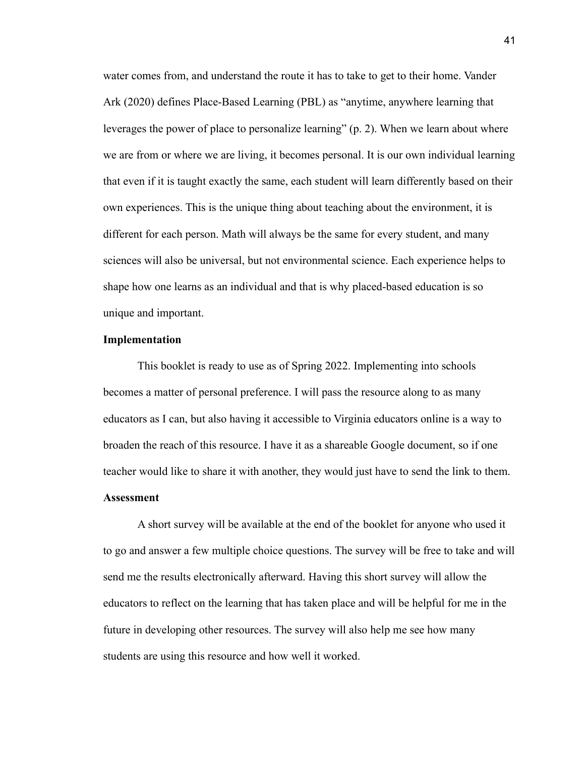water comes from, and understand the route it has to take to get to their home. Vander Ark (2020) defines Place-Based Learning (PBL) as "anytime, anywhere learning that leverages the power of place to personalize learning" (p. 2). When we learn about where we are from or where we are living, it becomes personal. It is our own individual learning that even if it is taught exactly the same, each student will learn differently based on their own experiences. This is the unique thing about teaching about the environment, it is different for each person. Math will always be the same for every student, and many sciences will also be universal, but not environmental science. Each experience helps to shape how one learns as an individual and that is why placed-based education is so unique and important.

#### **Implementation**

This booklet is ready to use as of Spring 2022. Implementing into schools becomes a matter of personal preference. I will pass the resource along to as many educators as I can, but also having it accessible to Virginia educators online is a way to broaden the reach of this resource. I have it as a shareable Google document, so if one teacher would like to share it with another, they would just have to send the link to them. **Assessment**

A short survey will be available at the end of the booklet for anyone who used it to go and answer a few multiple choice questions. The survey will be free to take and will send me the results electronically afterward. Having this short survey will allow the educators to reflect on the learning that has taken place and will be helpful for me in the future in developing other resources. The survey will also help me see how many students are using this resource and how well it worked.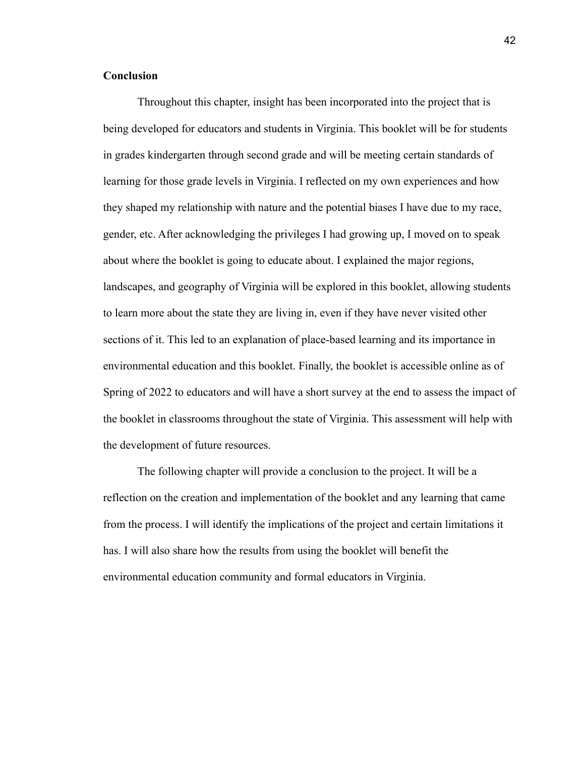#### **Conclusion**

Throughout this chapter, insight has been incorporated into the project that is being developed for educators and students in Virginia. This booklet will be for students in grades kindergarten through second grade and will be meeting certain standards of learning for those grade levels in Virginia. I reflected on my own experiences and how they shaped my relationship with nature and the potential biases I have due to my race, gender, etc. After acknowledging the privileges I had growing up, I moved on to speak about where the booklet is going to educate about. I explained the major regions, landscapes, and geography of Virginia will be explored in this booklet, allowing students to learn more about the state they are living in, even if they have never visited other sections of it. This led to an explanation of place-based learning and its importance in environmental education and this booklet. Finally, the booklet is accessible online as of Spring of 2022 to educators and will have a short survey at the end to assess the impact of the booklet in classrooms throughout the state of Virginia. This assessment will help with the development of future resources.

The following chapter will provide a conclusion to the project. It will be a reflection on the creation and implementation of the booklet and any learning that came from the process. I will identify the implications of the project and certain limitations it has. I will also share how the results from using the booklet will benefit the environmental education community and formal educators in Virginia.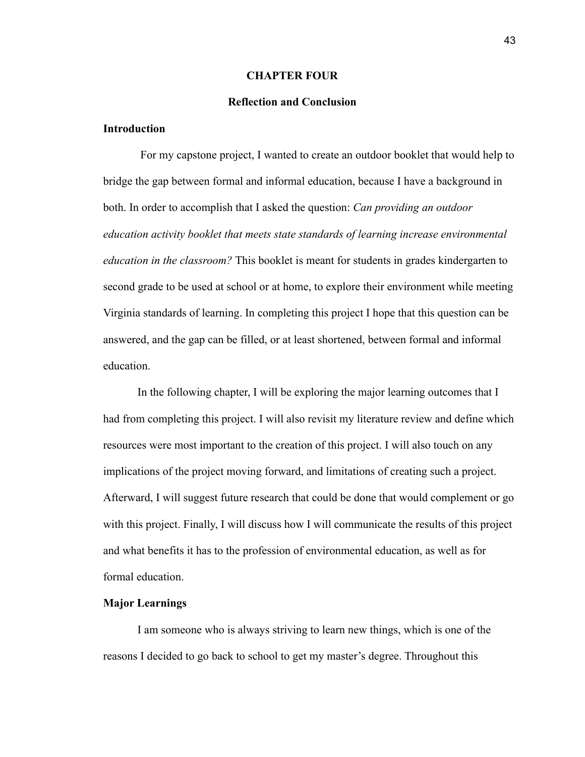#### **CHAPTER FOUR**

# **Reflection and Conclusion**

### **Introduction**

For my capstone project, I wanted to create an outdoor booklet that would help to bridge the gap between formal and informal education, because I have a background in both. In order to accomplish that I asked the question: *Can providing an outdoor education activity booklet that meets state standards of learning increase environmental education in the classroom?* This booklet is meant for students in grades kindergarten to second grade to be used at school or at home, to explore their environment while meeting Virginia standards of learning. In completing this project I hope that this question can be answered, and the gap can be filled, or at least shortened, between formal and informal education.

In the following chapter, I will be exploring the major learning outcomes that I had from completing this project. I will also revisit my literature review and define which resources were most important to the creation of this project. I will also touch on any implications of the project moving forward, and limitations of creating such a project. Afterward, I will suggest future research that could be done that would complement or go with this project. Finally, I will discuss how I will communicate the results of this project and what benefits it has to the profession of environmental education, as well as for formal education.

#### **Major Learnings**

I am someone who is always striving to learn new things, which is one of the reasons I decided to go back to school to get my master's degree. Throughout this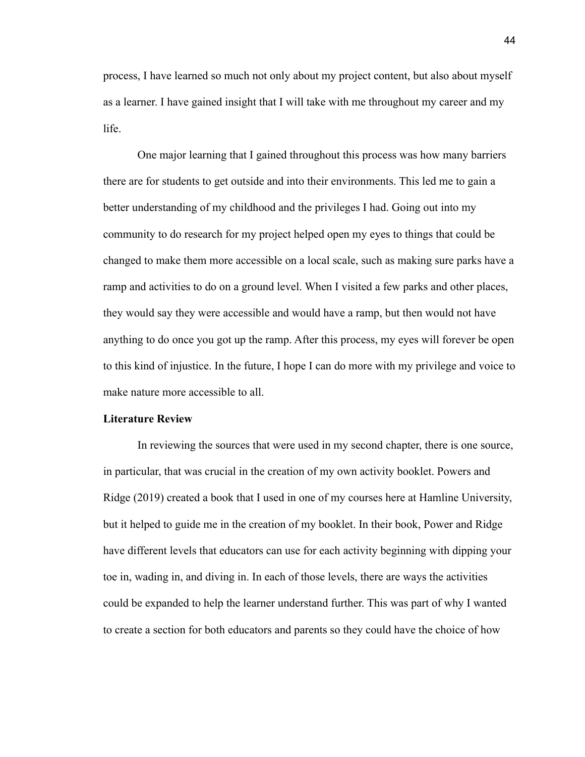process, I have learned so much not only about my project content, but also about myself as a learner. I have gained insight that I will take with me throughout my career and my life.

One major learning that I gained throughout this process was how many barriers there are for students to get outside and into their environments. This led me to gain a better understanding of my childhood and the privileges I had. Going out into my community to do research for my project helped open my eyes to things that could be changed to make them more accessible on a local scale, such as making sure parks have a ramp and activities to do on a ground level. When I visited a few parks and other places, they would say they were accessible and would have a ramp, but then would not have anything to do once you got up the ramp. After this process, my eyes will forever be open to this kind of injustice. In the future, I hope I can do more with my privilege and voice to make nature more accessible to all.

#### **Literature Review**

In reviewing the sources that were used in my second chapter, there is one source, in particular, that was crucial in the creation of my own activity booklet. Powers and Ridge (2019) created a book that I used in one of my courses here at Hamline University, but it helped to guide me in the creation of my booklet. In their book, Power and Ridge have different levels that educators can use for each activity beginning with dipping your toe in, wading in, and diving in. In each of those levels, there are ways the activities could be expanded to help the learner understand further. This was part of why I wanted to create a section for both educators and parents so they could have the choice of how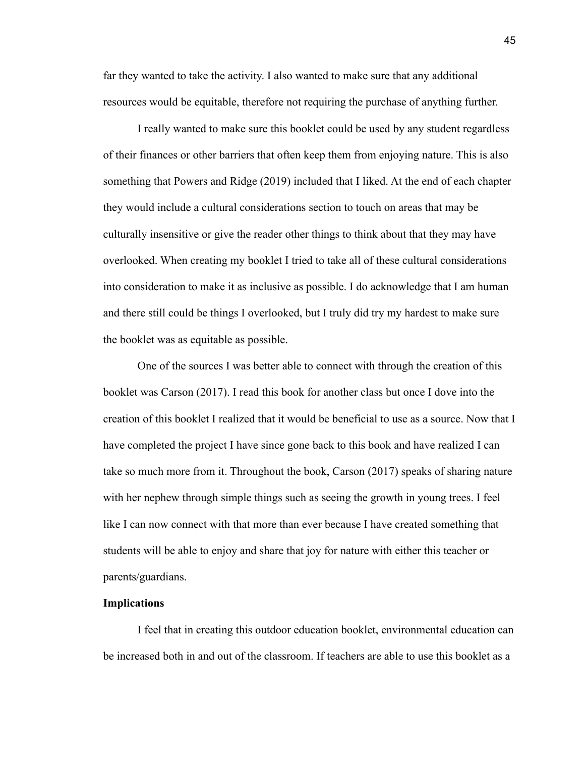far they wanted to take the activity. I also wanted to make sure that any additional resources would be equitable, therefore not requiring the purchase of anything further.

I really wanted to make sure this booklet could be used by any student regardless of their finances or other barriers that often keep them from enjoying nature. This is also something that Powers and Ridge (2019) included that I liked. At the end of each chapter they would include a cultural considerations section to touch on areas that may be culturally insensitive or give the reader other things to think about that they may have overlooked. When creating my booklet I tried to take all of these cultural considerations into consideration to make it as inclusive as possible. I do acknowledge that I am human and there still could be things I overlooked, but I truly did try my hardest to make sure the booklet was as equitable as possible.

One of the sources I was better able to connect with through the creation of this booklet was Carson (2017). I read this book for another class but once I dove into the creation of this booklet I realized that it would be beneficial to use as a source. Now that I have completed the project I have since gone back to this book and have realized I can take so much more from it. Throughout the book, Carson (2017) speaks of sharing nature with her nephew through simple things such as seeing the growth in young trees. I feel like I can now connect with that more than ever because I have created something that students will be able to enjoy and share that joy for nature with either this teacher or parents/guardians.

#### **Implications**

I feel that in creating this outdoor education booklet, environmental education can be increased both in and out of the classroom. If teachers are able to use this booklet as a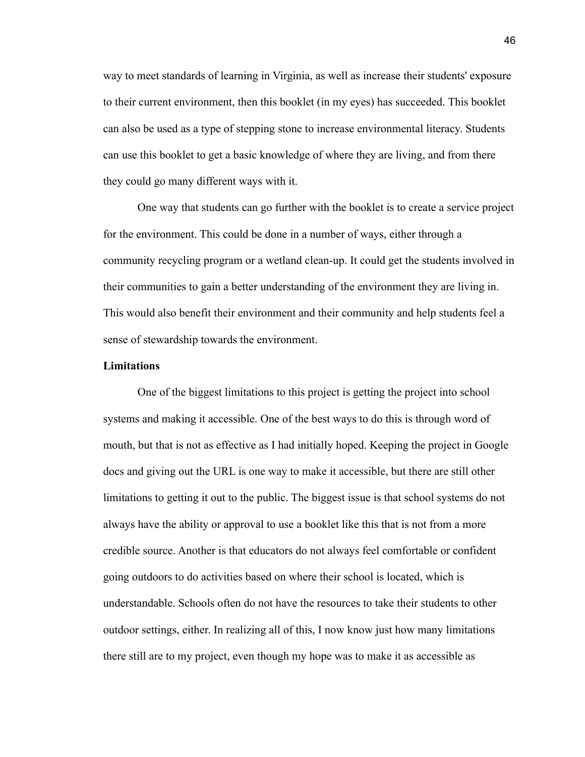way to meet standards of learning in Virginia, as well as increase their students' exposure to their current environment, then this booklet (in my eyes) has succeeded. This booklet can also be used as a type of stepping stone to increase environmental literacy. Students can use this booklet to get a basic knowledge of where they are living, and from there they could go many different ways with it.

One way that students can go further with the booklet is to create a service project for the environment. This could be done in a number of ways, either through a community recycling program or a wetland clean-up. It could get the students involved in their communities to gain a better understanding of the environment they are living in. This would also benefit their environment and their community and help students feel a sense of stewardship towards the environment.

#### **Limitations**

One of the biggest limitations to this project is getting the project into school systems and making it accessible. One of the best ways to do this is through word of mouth, but that is not as effective as I had initially hoped. Keeping the project in Google docs and giving out the URL is one way to make it accessible, but there are still other limitations to getting it out to the public. The biggest issue is that school systems do not always have the ability or approval to use a booklet like this that is not from a more credible source. Another is that educators do not always feel comfortable or confident going outdoors to do activities based on where their school is located, which is understandable. Schools often do not have the resources to take their students to other outdoor settings, either. In realizing all of this, I now know just how many limitations there still are to my project, even though my hope was to make it as accessible as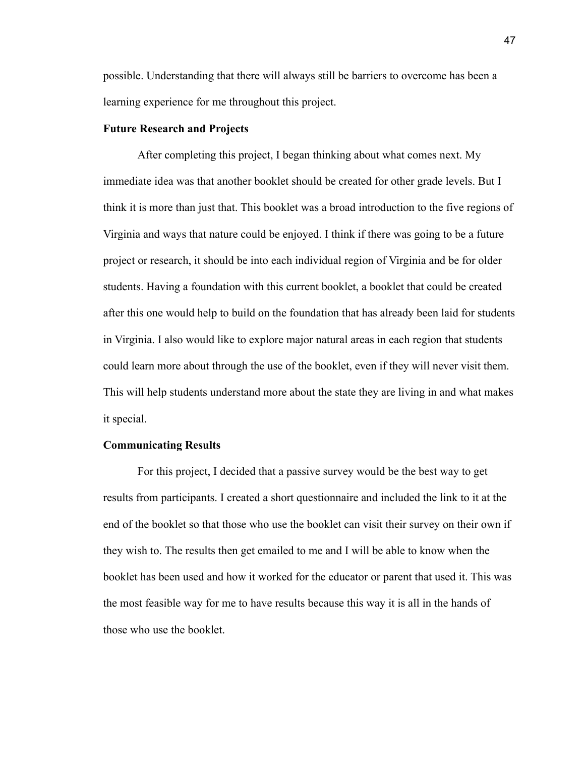possible. Understanding that there will always still be barriers to overcome has been a learning experience for me throughout this project.

#### **Future Research and Projects**

After completing this project, I began thinking about what comes next. My immediate idea was that another booklet should be created for other grade levels. But I think it is more than just that. This booklet was a broad introduction to the five regions of Virginia and ways that nature could be enjoyed. I think if there was going to be a future project or research, it should be into each individual region of Virginia and be for older students. Having a foundation with this current booklet, a booklet that could be created after this one would help to build on the foundation that has already been laid for students in Virginia. I also would like to explore major natural areas in each region that students could learn more about through the use of the booklet, even if they will never visit them. This will help students understand more about the state they are living in and what makes it special.

#### **Communicating Results**

For this project, I decided that a passive survey would be the best way to get results from participants. I created a short questionnaire and included the link to it at the end of the booklet so that those who use the booklet can visit their survey on their own if they wish to. The results then get emailed to me and I will be able to know when the booklet has been used and how it worked for the educator or parent that used it. This was the most feasible way for me to have results because this way it is all in the hands of those who use the booklet.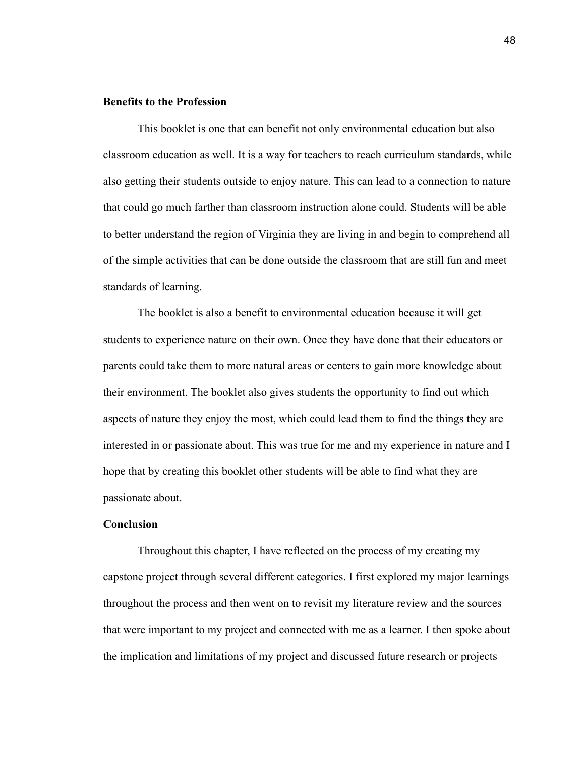#### **Benefits to the Profession**

This booklet is one that can benefit not only environmental education but also classroom education as well. It is a way for teachers to reach curriculum standards, while also getting their students outside to enjoy nature. This can lead to a connection to nature that could go much farther than classroom instruction alone could. Students will be able to better understand the region of Virginia they are living in and begin to comprehend all of the simple activities that can be done outside the classroom that are still fun and meet standards of learning.

The booklet is also a benefit to environmental education because it will get students to experience nature on their own. Once they have done that their educators or parents could take them to more natural areas or centers to gain more knowledge about their environment. The booklet also gives students the opportunity to find out which aspects of nature they enjoy the most, which could lead them to find the things they are interested in or passionate about. This was true for me and my experience in nature and I hope that by creating this booklet other students will be able to find what they are passionate about.

#### **Conclusion**

Throughout this chapter, I have reflected on the process of my creating my capstone project through several different categories. I first explored my major learnings throughout the process and then went on to revisit my literature review and the sources that were important to my project and connected with me as a learner. I then spoke about the implication and limitations of my project and discussed future research or projects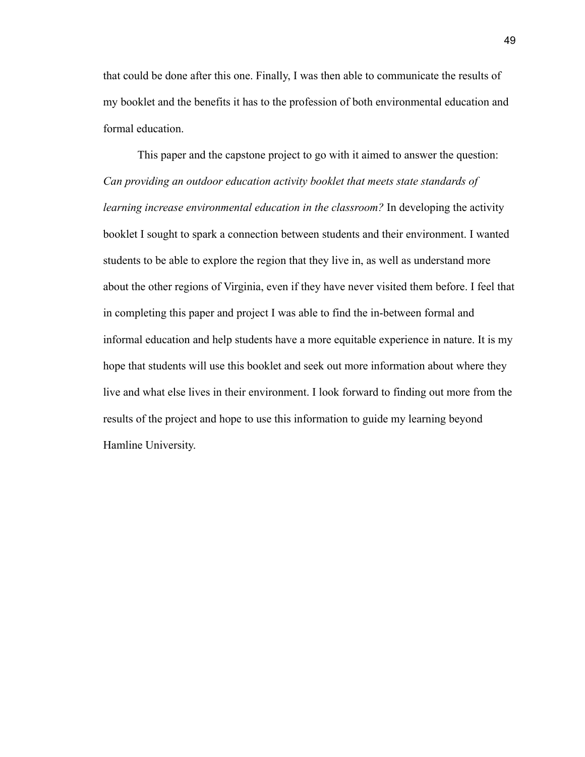that could be done after this one. Finally, I was then able to communicate the results of my booklet and the benefits it has to the profession of both environmental education and formal education.

This paper and the capstone project to go with it aimed to answer the question: *Can providing an outdoor education activity booklet that meets state standards of learning increase environmental education in the classroom?* In developing the activity booklet I sought to spark a connection between students and their environment. I wanted students to be able to explore the region that they live in, as well as understand more about the other regions of Virginia, even if they have never visited them before. I feel that in completing this paper and project I was able to find the in-between formal and informal education and help students have a more equitable experience in nature. It is my hope that students will use this booklet and seek out more information about where they live and what else lives in their environment. I look forward to finding out more from the results of the project and hope to use this information to guide my learning beyond Hamline University.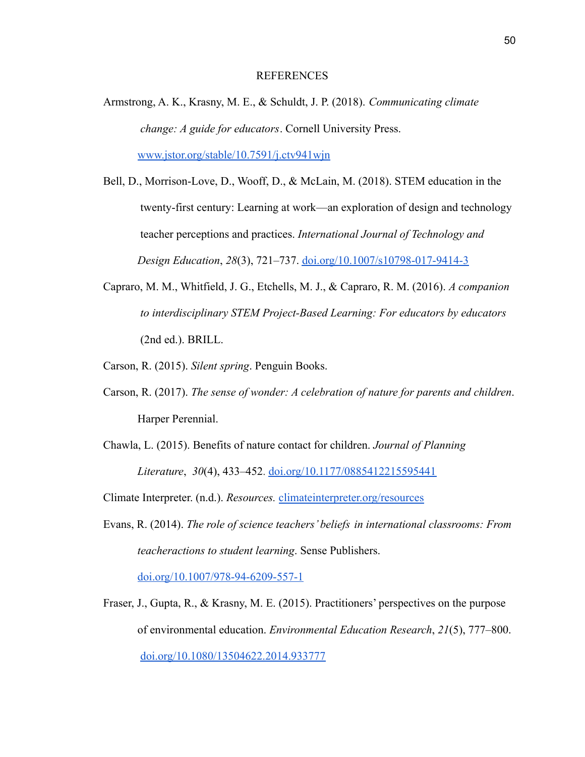#### REFERENCES

Armstrong, A. K., Krasny, M. E., & Schuldt, J. P. (2018). *Communicating climate change: A guide for educators*. Cornell University Press. [www.jstor.org/stable/10.7591/j.ctv941wjn](http://www.jstor.org/stable/10.7591/j.ctv941wjn)

Bell, D., Morrison-Love, D., Wooff, D., & McLain, M. (2018). STEM education in the twenty-first century: Learning at work—an exploration of design and technology teacher perceptions and practices. *International Journal of Technology and Design Education*, *28*(3), 721–737. [doi.org/10.1007/s10798-017-9414-3](https://doi.org/10.1007/s10798-017-9414-3)

- Capraro, M. M., Whitfield, J. G., Etchells, M. J., & Capraro, R. M. (2016). *A companion to interdisciplinary STEM Project-Based Learning: For educators by educators* (2nd ed.). BRILL.
- Carson, R. (2015). *Silent spring*. Penguin Books.
- Carson, R. (2017). *The sense of wonder: A celebration of nature for parents and children*. Harper Perennial.
- Chawla, L. (2015). Benefits of nature contact for children. *Journal of Planning Literature*, *30*(4), 433–452. [doi.org/10.1177/0885412215595441](https://doi.org/10.1177/0885412215595441)

Climate Interpreter. (n.d.). *Resources.* [climateinterpreter.org/resources](https://climateinterpreter.org/resources)

Evans, R. (2014). *The role of science teachers' beliefs in international classrooms: From teacheractions to student learning*. Sense Publishers.

[doi.org/10.1007/978-94-6209-557-1](https://doi.org/10.1007/978-94-6209-557-1)

Fraser, J., Gupta, R., & Krasny, M. E. (2015). Practitioners' perspectives on the purpose of environmental education. *Environmental Education Research*, *21*(5), 777–800. [doi.org/10.1080/13504622.2014.933777](https://doi.org/10.1080/13504622.2014.933777)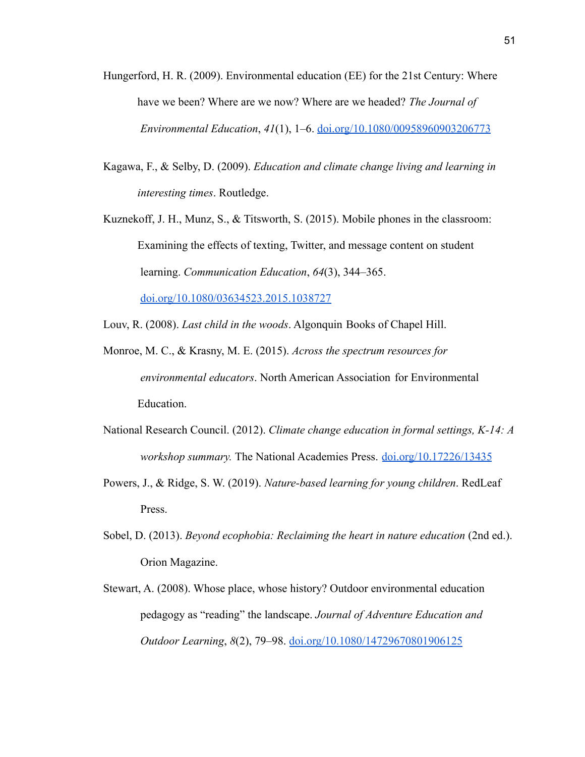- Hungerford, H. R. (2009). Environmental education (EE) for the 21st Century: Where have we been? Where are we now? Where are we headed? *The Journal of Environmental Education*, *41*(1), 1–6. [doi.org/10.1080/00958960903206773](https://doi.org/10.1080/00958960903206773)
- Kagawa, F., & Selby, D. (2009). *Education and climate change living and learning in interesting times*. Routledge.
- Kuznekoff, J. H., Munz, S., & Titsworth, S. (2015). Mobile phones in the classroom: Examining the effects of texting, Twitter, and message content on student learning. *Communication Education*, *64*(3), 344–365. [doi.org/10.1080/03634523.2015.1038727](https://doi.org/10.1080/03634523.2015.1038727)
- Louv, R. (2008). *Last child in the woods*. Algonquin Books of Chapel Hill.
- Monroe, M. C., & Krasny, M. E. (2015). *Across the spectrum resources for environmental educators*. North American Association for Environmental Education.
- National Research Council. (2012). *Climate change education in formal settings, K-14: A workshop summary.* The National Academies Press. [doi.org/10.17226/13435](https://doi.org/10.17226/13435)
- Powers, J., & Ridge, S. W. (2019). *Nature-based learning for young children*. RedLeaf Press.
- Sobel, D. (2013). *Beyond ecophobia: Reclaiming the heart in nature education* (2nd ed.). Orion Magazine.
- Stewart, A. (2008). Whose place, whose history? Outdoor environmental education pedagogy as "reading" the landscape. *Journal of Adventure Education and Outdoor Learning*, *8*(2), 79–98. [doi.org/10.1080/14729670801906125](https://doi.org/10.1080/14729670801906125)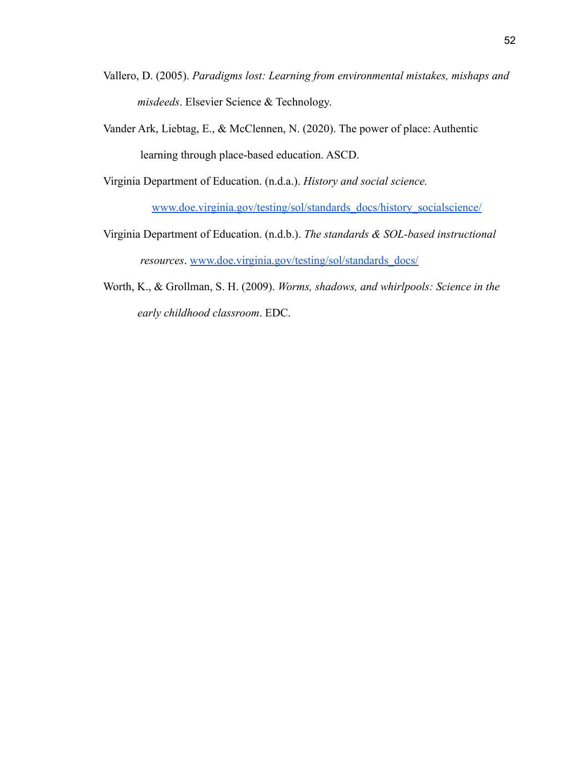- Vallero, D. (2005). *Paradigms lost: Learning from environmental mistakes, mishaps and misdeeds*. Elsevier Science & Technology.
- Vander Ark, Liebtag, E., & McClennen, N. (2020). The power of place: Authentic learning through place-based education. ASCD.

Virginia Department of Education. (n.d.a.). *History and social science.*

[www.doe.virginia.gov/testing/sol/standards\\_docs/history\\_socialscience/](https://www.doe.virginia.gov/testing/sol/standards_docs/history_socialscience/index.shtml)

- Virginia Department of Education. (n.d.b.). *The standards & SOL-based instructional resources*. [www.doe.virginia.gov/testing/sol/standards\\_docs/](https://www.doe.virginia.gov/testing/sol/standards_docs/)
- Worth, K., & Grollman, S. H. (2009). *Worms, shadows, and whirlpools: Science in the early childhood classroom*. EDC.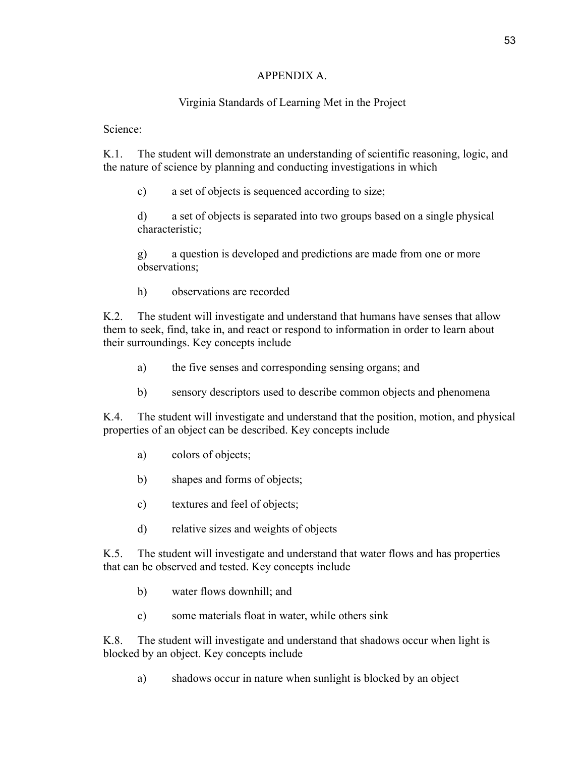# APPENDIX A.

# Virginia Standards of Learning Met in the Project

Science:

K.1. The student will demonstrate an understanding of scientific reasoning, logic, and the nature of science by planning and conducting investigations in which

c) a set of objects is sequenced according to size;

d) a set of objects is separated into two groups based on a single physical characteristic;

g) a question is developed and predictions are made from one or more observations;

h) observations are recorded

K.2. The student will investigate and understand that humans have senses that allow them to seek, find, take in, and react or respond to information in order to learn about their surroundings. Key concepts include

- a) the five senses and corresponding sensing organs; and
- b) sensory descriptors used to describe common objects and phenomena

K.4. The student will investigate and understand that the position, motion, and physical properties of an object can be described. Key concepts include

- a) colors of objects;
- b) shapes and forms of objects;
- c) textures and feel of objects;
- d) relative sizes and weights of objects

K.5. The student will investigate and understand that water flows and has properties that can be observed and tested. Key concepts include

- b) water flows downhill; and
- c) some materials float in water, while others sink

K.8. The student will investigate and understand that shadows occur when light is blocked by an object. Key concepts include

a) shadows occur in nature when sunlight is blocked by an object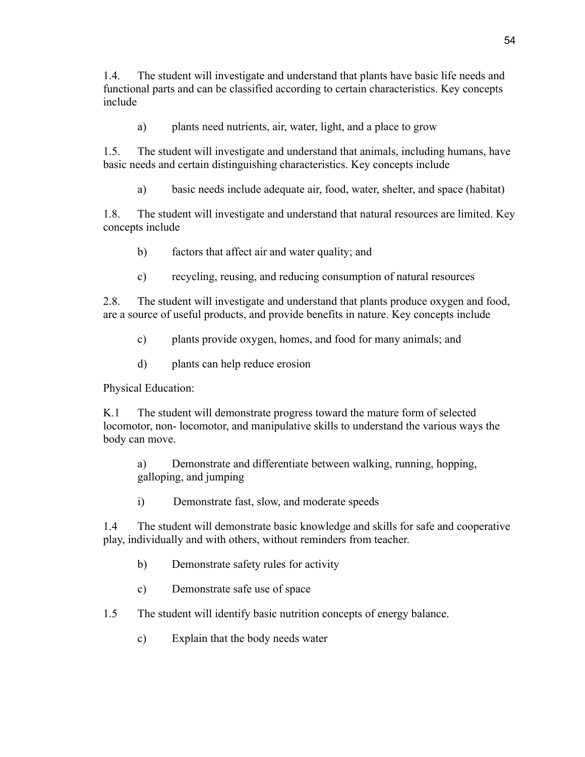1.4. The student will investigate and understand that plants have basic life needs and functional parts and can be classified according to certain characteristics. Key concepts include

a) plants need nutrients, air, water, light, and a place to grow

1.5. The student will investigate and understand that animals, including humans, have basic needs and certain distinguishing characteristics. Key concepts include

a) basic needs include adequate air, food, water, shelter, and space (habitat)

1.8. The student will investigate and understand that natural resources are limited. Key concepts include

- b) factors that affect air and water quality; and
- c) recycling, reusing, and reducing consumption of natural resources

2.8. The student will investigate and understand that plants produce oxygen and food, are a source of useful products, and provide benefits in nature. Key concepts include

- c) plants provide oxygen, homes, and food for many animals; and
- d) plants can help reduce erosion

Physical Education:

K.1 The student will demonstrate progress toward the mature form of selected locomotor, non- locomotor, and manipulative skills to understand the various ways the body can move.

a) Demonstrate and differentiate between walking, running, hopping, galloping, and jumping

i) Demonstrate fast, slow, and moderate speeds

1.4 The student will demonstrate basic knowledge and skills for safe and cooperative play, individually and with others, without reminders from teacher.

- b) Demonstrate safety rules for activity
- c) Demonstrate safe use of space
- 1.5 The student will identify basic nutrition concepts of energy balance.
	- c) Explain that the body needs water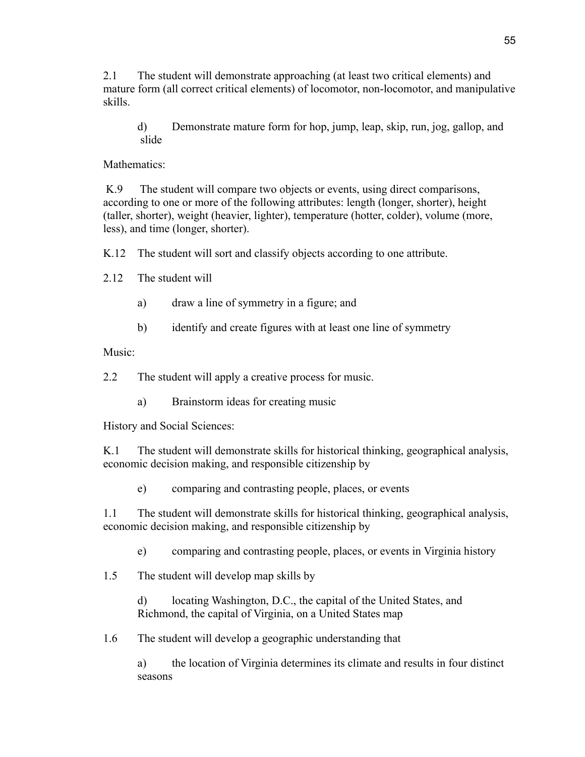2.1 The student will demonstrate approaching (at least two critical elements) and mature form (all correct critical elements) of locomotor, non-locomotor, and manipulative skills.

d) Demonstrate mature form for hop, jump, leap, skip, run, jog, gallop, and slide

Mathematics<sup>-</sup>

K.9 The student will compare two objects or events, using direct comparisons, according to one or more of the following attributes: length (longer, shorter), height (taller, shorter), weight (heavier, lighter), temperature (hotter, colder), volume (more, less), and time (longer, shorter).

K.12 The student will sort and classify objects according to one attribute.

2.12 The student will

- a) draw a line of symmetry in a figure; and
- b) identify and create figures with at least one line of symmetry

Music:

2.2 The student will apply a creative process for music.

a) Brainstorm ideas for creating music

History and Social Sciences:

K.1 The student will demonstrate skills for historical thinking, geographical analysis, economic decision making, and responsible citizenship by

e) comparing and contrasting people, places, or events

1.1 The student will demonstrate skills for historical thinking, geographical analysis, economic decision making, and responsible citizenship by

e) comparing and contrasting people, places, or events in Virginia history

1.5 The student will develop map skills by

d) locating Washington, D.C., the capital of the United States, and Richmond, the capital of Virginia, on a United States map

1.6 The student will develop a geographic understanding that

a) the location of Virginia determines its climate and results in four distinct seasons